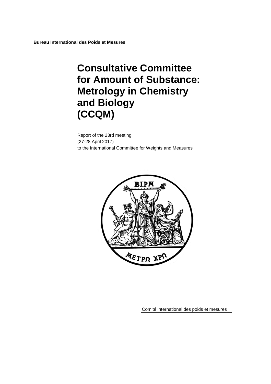**Bureau International des Poids et Mesures**

# **Consultative Committee for Amount of Substance: Metrology in Chemistry and Biology (CCQM)**

Report of the 23rd meeting (27-28 April 2017) to the International Committee for Weights and Measures



Comité international des poids et mesures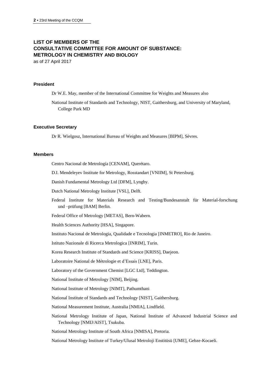## **LIST OF MEMBERS OF THE CONSULTATIVE COMMITTEE FOR AMOUNT OF SUBSTANCE: METROLOGY IN CHEMISTRY AND BIOLOGY**

as of 27 April 2017

## **President**

Dr W.E. May, member of the International Committee for Weights and Measures also

National Institute of Standards and Technology, NIST, Gaithersburg, and University of Maryland, College Park MD

#### **Executive Secretary**

Dr R. Wielgosz, International Bureau of Weights and Measures [BIPM], Sèvres.

#### **Members**

Centro Nacional de Metrología [CENAM], Querétaro.

D.I. Mendeleyev Institute for Metrology, Rosstandart [VNIIM], St Petersburg.

Danish Fundamental Metrology Ltd [DFM], Lyngby.

Dutch National Metrology Institute [VSL], Delft.

Federal Institute for Materials Research and Testing/Bundesanstalt für Material-forschung und –prüfung [BAM] Berlin.

Federal Office of Metrology [METAS], Bern-Wabern.

Health Sciences Authority [HSA], Singapore.

Instituto Nacional de Metrologia, Qualidade e Tecnologia [INMETRO], Rio de Janeiro.

Istituto Nazionale di Ricerca Metrologica [INRIM], Turin.

Korea Research Institute of Standards and Science [KRISS], Daejeon.

Laboratoire National de Métrologie et d'Essais [LNE], Paris.

Laboratory of the Government Chemist [LGC Ltd], Teddington.

National Institute of Metrology [NIM], Beijing.

National Institute of Metrology [NIMT], Pathumthani

National Institute of Standards and Technology [NIST], Gaithersburg.

National Measurement Institute, Australia [NMIA], Lindfield.

National Metrology Institute of Japan, National Institute of Advanced Industrial Science and Technology [NMIJ/AIST], Tsukuba.

National Metrology Institute of South Africa [NMISA], Pretoria.

National Metrology Institute of Turkey/Ulusal Metroloji Enstitüsü [UME], Gebze-Kocaeli.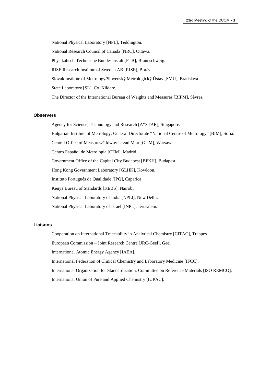National Physical Laboratory [NPL], Teddington. National Research Council of Canada [NRC], Ottawa. Physikalisch-Technische Bundesanstalt [PTB], Braunschweig. RISE Research Institute of Sweden AB [RISE], Borås Slovak Institute of Metrology/Slovenský Metrologický Ústav [SMU], Bratislava. State Laboratory [SL], Co. Kildare. The Director of the International Bureau of Weights and Measures [BIPM], Sèvres.

#### **Observers**

Agency for Science, Technology and Research [A\*STAR], Singapore.

Bulgarian Institute of Metrology, General Directorate "National Centre of Metrology" [BIM], Sofia.

Central Office of Measures/Glόwny Urzad Miar [GUM], Warsaw.

Centro Español de Metrología [CEM], Madrid.

Government Office of the Capital City Budapest [BFKH], Budapest.

Hong Kong Government Laboratory [GLHK], Kowloon.

Instituto Português da Qualidade [IPQ], Caparica

Kenya Bureau of Standards [KEBS], Nairobi

National Physical Laboratory of India [NPLI], New Delhi.

National Physical Laboratory of Israel [INPL], Jerusalem.

#### **Liaisons**

Cooperation on International Traceability in Analytical Chemistry [CITAC], Trappes.

European Commission – Joint Research Centre [JRC-Geel], Geel

International Atomic Energy Agency [IAEA].

International Federation of Clinical Chemistry and Laboratory Medicine [IFCC].

International Organization for Standardization, Committee on Reference Materials [ISO REMCO].

International Union of Pure and Applied Chemistry [IUPAC].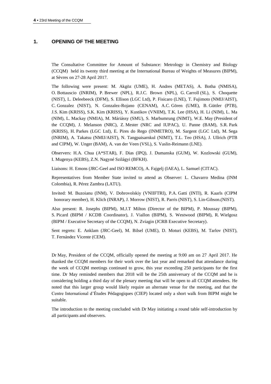## **1. OPENING OF THE MEETING**

The Consultative Committee for Amount of Substance: Metrology in Chemistry and Biology (CCQM) held its twenty third meeting at the International Bureau of Weights of Measures (BIPM), at Sèvres on 27-28 April 2017.

The following were present: M. Akgöz (UME), H. Andres (METAS), A. Botha (NMISA), O. Bottauscio (INRIM), P. Brewer (NPL), R.J.C. Brown (NPL), G. Carroll (SL), S. Choquette (NIST), L. Deleebeeck (DFM), S. Ellison (LGC Ltd), P. Fisicaro (LNE), T. Fujimoto (NMIJ/AIST), C. Gonzalez (NIST), N. Gonzalez-Rojano (CENAM), A.C. Gören (UME), B. Güttler (PTB), J.S. Kim (KRISS), S.K. Kim (KRISS), Y. Kustikov (VNIIM), T.K. Lee (HSA), H. Li (NIM), L. Ma (NIM), L. Mackay (NMIA), M. Máriássy (SMU), S. Marbumrung (NIMT), W.E. May (President of the CCQM), J. Melanson (NRC), Z. Mester (NRC and IUPAC), U. Panne (BAM), S.R. Park (KRISS), H. Parkes (LGC Ltd), E. Pires do Rego (INMETRO), M. Sargent (LGC Ltd), M. Sega (INRIM), A. Takatsu (NMIJ/AIST), N. Tangpaisarnkul (NIMT), T.L. Teo (HSA), J. Ullrich (PTB and CIPM), W. Unger (BAM), A. van der Veen (VSL), S. Vaslin-Reimann (LNE).

Observers: H.A. Chua (A\*STAR), F. Dias (IPQ), J. Dumanska (GUM), W. Kozlowski (GUM), I. Mugenya (KEBS), Z.N. Nagyné Szilágyi (BFKH).

Liaisons: H. Emons (JRC-Geel and ISO REMCO), A. Fajgelj (IAEA), L. Samuel (CITAC).

Representatives from Member State invited to attend as Observer: L. Chavarro Medina (INM Colombia), R. Pérez Zambra (LATU).

Invited: M. Buzoianu (INM), V. Dobrovolskiy (VNIIFTRI), P.A. Gatti (INTI), R. Kaarls (CIPM honorary member), H. Klich (INRAP), J. Morrow (NIST), R. Parris (NIST), S. Lin-Gibson.(NIST).

Also present: R. Josephs (BIPM), M.J.T Milton (Director of the BIPM), P. Moussay (BIPM), S. Picard (BIPM / KCDB Coordinator), J. Viallon (BIPM), S. Westwood (BIPM), R. Wielgosz (BIPM / Executive Secretary of the CCQM), N. Zviagin (JCRB Executive Secretary).

Sent regrets: E. Anklam (JRC-Geel), M. Bilsel (UME), D. Moturi (KEBS), M. Tarlov (NIST), T. Fernández Vicente (CEM).

Dr May, President of the CCQM, officially opened the meeting at 9:00 am on 27 April 2017. He thanked the CCQM members for their work over the last year and remarked that attendance during the week of CCQM meetings continued to grow, this year exceeding 250 participants for the first time. Dr May reminded members that 2018 will be the 25th anniversary of the CCQM and he is considering holding a third day of the plenary meeting that will be open to all CCQM attendees. He noted that this larger group would likely require an alternate venue for the meeting, and that the Centre International d'Études Pédagogiques (CIEP) located only a short walk from BIPM might be suitable.

The introduction to the meeting concluded with Dr May initiating a round table self-introduction by all participants and observers.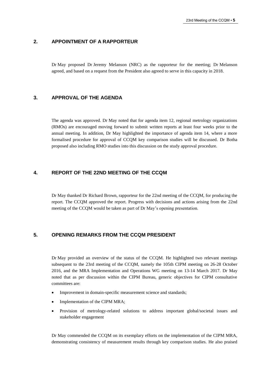## **2. APPOINTMENT OF A RAPPORTEUR**

Dr May proposed Dr Jeremy Melanson (NRC) as the rapporteur for the meeting; Dr Melanson agreed, and based on a request from the President also agreed to serve in this capacity in 2018.

## **3. APPROVAL OF THE AGENDA**

The agenda was approved. Dr May noted that for agenda item 12, regional metrology organizations (RMOs) are encouraged moving forward to submit written reports at least four weeks prior to the annual meeting. In addition, Dr May highlighted the importance of agenda item 14, where a more formalised procedure for approval of CCQM key comparison studies will be discussed. Dr Botha proposed also including RMO studies into this discussion on the study approval procedure.

## **4. REPORT OF THE 22ND MEETING OF THE CCQM**

Dr May thanked Dr Richard Brown, rapporteur for the 22nd meeting of the CCQM, for producing the report. The CCQM approved the report. Progress with decisions and actions arising from the 22nd meeting of the CCQM would be taken as part of Dr May's opening presentation.

## **5. OPENING REMARKS FROM THE CCQM PRESIDENT**

Dr May provided an overview of the status of the CCQM. He highlighted two relevant meetings subsequent to the 23rd meeting of the CCQM, namely the 105th CIPM meeting on 26-28 October 2016, and the MRA Implementation and Operations WG meeting on 13-14 March 2017. Dr May noted that as per discussion within the CIPM Bureau, generic objectives for CIPM consultative committees are:

- Improvement in domain-specific measurement science and standards;
- Implementation of the CIPM MRA;
- Provision of metrology-related solutions to address important global/societal issues and stakeholder engagement

Dr May commended the CCQM on its exemplary efforts on the implementation of the CIPM MRA, demonstrating consistency of measurement results through key comparison studies. He also praised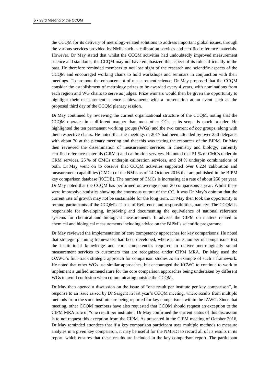the CCQM for its delivery of metrology-related solutions to address important global issues, through the various services provided by NMIs such as calibration services and certified reference materials. However, Dr May stated that whilst the CCQM activities had undoubtedly improved measurement science and standards, the CCQM may not have emphasized this aspect of its role sufficiently in the past. He therefore reminded members to not lose sight of the research and scientific aspects of the CCQM and encouraged working chairs to hold workshops and seminars in conjunction with their meetings. To promote the enhancement of measurement science, Dr May proposed that the CCQM consider the establishment of metrology prizes to be awarded every 4 years, with nominations from each region and WG chairs to serve as judges. Prize winners would then be given the opportunity to highlight their measurement science achievements with a presentation at an event such as the proposed third day of the CCQM plenary session.

Dr May continued by reviewing the current organizational structure of the CCQM, noting that the CCQM operates in a different manner than most other CCs as its scope is much broader. He highlighted the ten permanent working groups (WGs) and the two current *ad hoc* groups, along with their respective chairs. He noted that the meetings in 2017 had been attended by over 250 delegates with about 70 at the plenary meeting and that this was testing the resources of the BIPM. Dr May then reviewed the dissemination of measurement services in chemistry and biology, currently certified reference materials (CRMs) and calibration services. He noted that 51 % of CMCs underpin CRM services, 25 % of CMCs underpin calibration services, and 24 % underpin combinations of both. Dr May went on to observe that CCQM activities supported over 6 224 calibration and measurement capabilities (CMCs) of the NMIs as of 14 October 2016 that are published in the BIPM key comparison database (KCDB). The number of CMCs is increasing at a rate of about 250 per year. Dr May noted that the CCQM has performed on average about 20 comparisons a year. Whilst these were impressive statistics showing the enormous output of the CC, it was Dr May's opinion that the current rate of growth may not be sustainable for the long term. Dr May then took the opportunity to remind participants of the CCQM's Terms of Reference and responsibilities, namely: The CCQM is responsible for developing, improving and documenting the equivalence of national reference systems for chemical and biological measurements. It advises the CIPM on matters related to chemical and biological measurements including advice on the BIPM's scientific programme.

Dr May reviewed the implementation of core competency approaches for key comparisons. He noted that strategic planning frameworks had been developed, where a finite number of comparisons test the institutional knowledge and core competencies required to deliver metrologically sound measurement services to customers that are recognized under CIPM MRA. Dr May used the OAWG's four-track strategic approach for comparison studies as an example of such a framework. He noted that other WGs use similar approaches, but encouraged the KCWG to continue to work to implement a unified nomenclature for the core comparison approaches being undertaken by different WGs to avoid confusion when communicating outside the CCQM.

Dr May then opened a discussion on the issue of "one result per institute per key comparison", in response to an issue raised by Dr Sargent in last year's CCQM meeting, where results from multiple methods from the same institute are being reported for key comparisons within the IAWG. Since that meeting, other CCQM members have also requested that CCQM should request an exception to the CIPM MRA rule of "one result per institute". Dr May confirmed the current status of this discussion is to not request this exception from the CIPM. As presented in the CIPM meeting of October 2016, Dr May reminded attendees that if a key comparison participant uses multiple methods to measure analytes in a given key comparison, it may be useful for the NMI/DI to record all of its results in its report, which ensures that these results are included in the key comparison report. The participant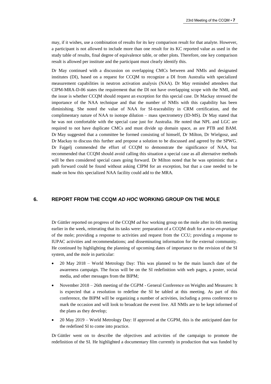may, if it wishes, use a combination of results for its key comparison result for that analyte. However, a participant is not allowed to include more than one result for its KC reported value as used in the study table of results, final degree of equivalence table, or other plots. Therefore, one key comparison result is allowed per institute and the participant must clearly identify this.

Dr May continued with a discussion on overlapping CMCs between and NMIs and designated institutes (DI), based on a request for CCQM to recognize a DI from Australia with specialized measurement capabilities in neutron activation analysis (NAA). Dr May reminded attendees that CIPM-MRA-D-06 states the requirement that the DI not have overlapping scope with the NMI, and the issue is whether CCQM should request an exception for this special case. Dr Mackay stressed the importance of the NAA technique and that the number of NMIs with this capability has been diminishing. She noted the value of NAA for SI-traceability in CRM certification, and the complimentary nature of NAA to isotope dilution – mass spectrometry (ID-MS). Dr May stated that he was not comfortable with the special case just for Australia. He noted that NPL and LGC are required to not have duplicate CMCs and must divide up domain space, as are PTB and BAM. Dr May suggested that a committee be formed consisting of himself, Dr Milton, Dr Wielgosz, and Dr Mackay to discuss this further and propose a solution to be discussed and agreed by the SPWG. Dr Fajgelj commended the effort of CCQM to demonstrate the significance of NAA, but recommended that CCQM should avoid calling this situation a special case as all alternative methods will be then considered special cases going forward. Dr Milton noted that he was optimistic that a path forward could be found without asking CIPM for an exception, but that a case needed to be made on how this specialized NAA facility could add to the MRA.

## **6. REPORT FROM THE CCQM** *AD HOC* **WORKING GROUP ON THE MOLE**

Dr Güttler reported on progress of the CCQM *ad hoc* working group on the mole after its 6th meeting earlier in the week, reiterating that its tasks were: preparation of a CCQM draft for a *mise-en-pratique* of the mole; providing a response to activities and request from the CCU; providing a response to IUPAC activities and recommendations; and disseminating information for the external community. He continued by highlighting the planning of upcoming dates of importance to the revision of the SI system, and the mole in particular:

- 20 May 2018 World Metrology Day: This was planned to be the main launch date of the awareness campaign. The focus will be on the SI redefinition with web pages, a poster, social media, and other messages from the BIPM;
- November 2018 26th meeting of the CGPM General Conference on Weights and Measures: It is expected that a resolution to redefine the SI be tabled at this meeting. As part of this conference, the BIPM will be organizing a number of activities, including a press conference to mark the occasion and will look to broadcast the event live. All NMIs are to be kept informed of the plans as they develop;
- 20 May 2019 World Metrology Day: If approved at the CGPM, this is the anticipated date for the redefined SI to come into practice.

Dr Güttler went on to describe the objectives and activities of the campaign to promote the redefinition of the SI. He highlighted a documentary film currently in production that was funded by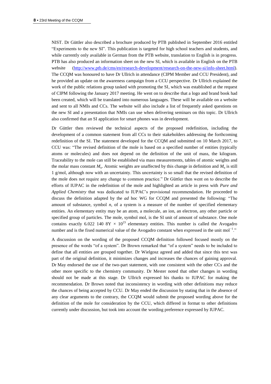NIST. Dr Güttler also described a brochure produced by PTB published in September 2016 entitled "Experiments to the new SI". This publication is targeted for high school teachers and students, and while currently only available in German from the PTB website, translation to English is in progress. PTB has also produced an information sheet on the new SI, which is available in English on the PTB website [\(http://www.ptb.de/cms/en/research-development/research-on-the-new-si/info-sheet.html\)](http://www.ptb.de/cms/en/research-development/research-on-the-new-si/info-sheet.html). The CCQM was honoured to have Dr Ullrich in attendance (CIPM Member and CCU President), and he provided an update on the awareness campaign from a CCU perspective. Dr Ullrich explained the work of the public relations group tasked with promoting the SI, which was established at the request of CIPM following the January 2017 meeting. He went on to describe that a logo and brand book had been created, which will be translated into numerous languages. These will be available on a website and sent to all NMIs and CCs. The website will also include a list of frequently asked questions on the new SI and a presentation that NMIs can use when delivering seminars on this topic. Dr Ullrich also confirmed that an SI application for smart phones was in development.

Dr Güttler then reviewed the technical aspects of the proposed redefinition, including the development of a common statement from all CCs to their stakeholders addressing the forthcoming redefinition of the SI. The statement developed for the CCQM and submitted on 10 March 2017, to CCU was: "The revised definition of the mole is based on a specified number of entities (typically atoms or molecules) and does not depend on the definition of the unit of mass, the kilogram. Traceability to the mole can still be established via mass measurements, tables of atomic weights and the molar mass constant  $M_u$ . Atomic weights are unaffected by this change in definition and  $M_u$  is still 1 g/mol, although now with an uncertainty. This uncertainty is so small that the revised definition of the mole does not require any change to common practice." Dr Güttler then went on to describe the efforts of IUPAC in the redefinition of the mole and highlighted an article in press with *Pure and Applied Chemistry* that was dedicated to IUPAC's provisional recommendation. He proceeded to discuss the definition adapted by the *ad* hoc WG for CCQM and presented the following: "The amount of substance, symbol *n*, of a system is a measure of the number of specified elementary entities. An elementary entity may be an atom, a molecule, an ion, an electron, any other particle or specified group of particles. The mole, symbol mol, is the SI unit of amount of substance. One mole contains exactly 6.022 140 8Y  $\times$  10<sup>23</sup> elementary entities. This number is called the Avogadro number and is the fixed numerical value of the Avogadro constant when expressed in the unit mol<sup>-1</sup>."

A discussion on the wording of the proposed CCQM definition followed focused mostly on the presence of the words "of a system". Dr Brown remarked that "of a system" needs to be included to define that all entities are grouped together. Dr Wielgosz agreed and added that since this text was part of the original definition, it minimizes changes and increases the chances of gaining approval. Dr May endorsed the use of the two-part statement, with one consistent with the other CCs and the other more specific to the chemistry community. Dr Mester noted that other changes in wording should not be made at this stage. Dr Ullrich expressed his thanks to IUPAC for making the recommendation. Dr Brown noted that inconsistency in wording with other definitions may reduce the chances of being accepted by CCU. Dr May ended the discussion by stating that in the absence of any clear arguments to the contrary, the CCQM would submit the proposed wording above for the definition of the mole for consideration by the CCU, which differed in format to other definitions currently under discussion, but took into account the wording preference expressed by IUPAC.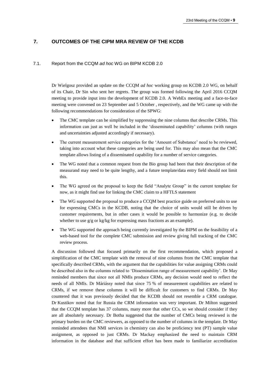## **7. OUTCOMES OF THE CIPM MRA REVIEW OF THE KCDB**

#### 7.1. Report from the CCQM *ad hoc* WG on BIPM KCDB 2.0

Dr Wielgosz provided an update on the CCQM *ad hoc* working group on KCDB 2.0 WG, on behalf of its Chair, Dr Sin who sent her regrets. The group was formed following the April 2016 CCQM meeting to provide input into the development of KCDB 2.0. A WebEx meeting and a face-to-face meeting were convened on 23 September and 5 October , respectively, and the WG came up with the following recommendations for consideration of the SPWG:

- The CMC template can be simplified by suppressing the nine columns that describe CRMs. This information can just as well be included in the 'disseminated capability' columns (with ranges and uncertainties adjusted accordingly if necessary).
- The current measurement service categories for the 'Amount of Substance' need to be reviewed, taking into account what these categories are being used for. This may also mean that the CMC template allows listing of a disseminated capability for a number of service categories.
- The WG noted that a common request from the Bio group had been that their description of the measurand may need to be quite lengthy, and a future template/data entry field should not limit this.
- The WG agreed on the proposal to keep the field "Analyte Group" in the current template for now, as it might find use for linking the CMC claim to a HFTLS statement
- The WG supported the proposal to produce a CCQM best practice guide on preferred units to use for expressing CMCs in the KCDB, noting that the choice of units would still be driven by customer requirements, but in other cases it would be possible to harmonize (e.g. to decide whether to use  $g/g$  or kg/kg for expressing mass fractions as an example).
- The WG supported the approach being currently investigated by the BIPM on the feasibility of a web-based tool for the complete CMC submission and review giving full tracking of the CMC review process.

A discussion followed that focused primarily on the first recommendation, which proposed a simplification of the CMC template with the removal of nine columns from the CMC template that specifically described CRMs, with the argument that the capabilities for value assigning CRMs could be described also in the columns related to 'Dissemination range of measurement capability'. Dr May reminded members that since not all NMIs produce CRMs, any decision would need to reflect the needs of all NMIs. Dr Máriássy noted that since 75 % of measurement capabilities are related to CRMs, if we remove these columns it will be difficult for customers to find CRMs. Dr May countered that it was previously decided that the KCDB should not resemble a CRM catalogue. Dr Kustikov noted that for Russia the CRM information was very important. Dr Milton suggested that the CCQM template has 37 columns, many more that other CCs, so we should consider if they are all absolutely necessary. Dr Botha suggested that the number of CMCs being reviewed is the primary burden on the CMC reviewers, as opposed to the number of columns in the template. Dr May reminded attendees that NMI services in chemistry can also be proficiency test (PT) sample value assignment, as opposed to just CRMs. Dr Mackay emphasized the need to maintain CRM information in the database and that sufficient effort has been made to familiarize accreditation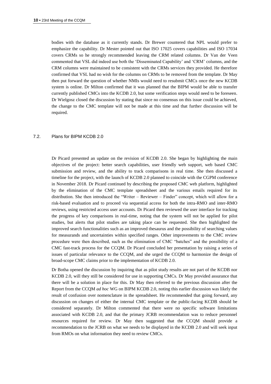bodies with the database as it currently stands. Dr Brewer countered that NPL would prefer to emphasize the capability. Dr Mester pointed out that ISO 17025 covers capabilities and ISO 17034 covers CRMs so he strongly recommended leaving the CRM related columns. Dr Van der Veen commented that VSL did indeed use both the 'Disseminated Capability' and 'CRM' columns, and the CRM columns were maintained to be consistent with the CRMs services they provided. He therefore confirmed that VSL had no wish for the columns on CRMs to be removed from the template. Dr May then put forward the question of whether NMIs would need to resubmit CMCs once the new KCDB system is online. Dr Milton confirmed that it was planned that the BIPM would be able to transfer currently published CMCs into the KCDB 2.0, but some verification steps would need to be foreseen. Dr Wielgosz closed the discussion by stating that since no consensus on this issue could be achieved, the change to the CMC template will not be made at this time and that further discussion will be required.

#### 7.2. Plans for BIPM KCDB 2.0

Dr Picard presented an update on the revision of KCDB 2.0. She began by highlighting the main objectives of the project: better search capabilities, user friendly web support, web based CMC submission and review, and the ability to track comparisons in real time. She then discussed a timeline for the project, with the launch of KCDB 2.0 planned to coincide with the CGPM conference in November 2018. Dr Picard continued by describing the proposed CMC web platform, highlighted by the elimination of the CMC template spreadsheet and the various emails required for its distribution. She then introduced the "Writer – Reviewer – Finder" concept, which will allow for a risk-based evaluation and to proceed via sequential access for both the intra-RMO and inter-RMO reviews, using restricted access user accounts. Dr Picard then reviewed the user interface for tracking the progress of key comparisons in real-time, noting that the system will not be applied for pilot studies, but alerts that pilot studies are taking place can be requested. She then highlighted the improved search functionalities such as an improved thesaurus and the possibility of searching values for measurands and uncertainties within specified ranges. Other improvements to the CMC review procedure were then described, such as the elimination of CMC "batches" and the possibility of a CMC fast-track process for the CCQM. Dr Picard concluded her presentation by raising a series of issues of particular relevance to the CCQM, and she urged the CCQM to harmonize the design of broad-scope CMC claims prior to the implementation of KCDB 2.0.

Dr Botha opened the discussion by inquiring that as pilot study results are not part of the KCDB nor KCDB 2.0, will they still be considered for use in supporting CMCs. Dr May provided assurance that there will be a solution in place for this. Dr May then referred to the previous discussion after the Report from the CCQM *ad hoc* WG on BIPM KCDB 2.0, noting this earlier discussion was likely the result of confusion over nomenclature in the spreadsheet. He recommended that going forward, any discussion on changes of either the internal CMC template or the public-facing KCDB should be considered separately. Dr Milton commented that there were no specific software limitations associated with KCDB 2.0, and that the primary JCRB recommendation was to reduce personnel resources required for review. Dr May then suggested that the CCQM should provide a recommendation to the JCRB on what we needs to be displayed in the KCDB 2.0 and will seek input from RMOs on what information they need to review CMCs.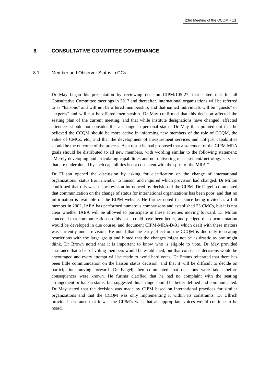#### **8. CONSULTATIVE COMMITTEE GOVERNANCE**

#### 8.1 Member and Observer Status in CCs

Dr May began his presentation by reviewing decision CIPM/105-27, that stated that for all Consultative Committee meetings in 2017 and thereafter, international organizations will be referred to as "liaisons" and will not be offered membership, and that named individuals will be "guests" or "experts" and will not be offered membership. Dr May confirmed that this decision affected the seating plan of the current meeting, and that while institute designations have changed, affected attendees should not consider this a change in personal status. Dr May then pointed out that he believed the CCQM should be more active in informing new members of the role of CCQM, the value of CMCs, etc., and that the development of measurement services and not just capabilities should be the outcome of the process. As a result he had proposed that a statement of the CIPM MRA goals should be distributed to all new members, with wording similar to the following statement: "Merely developing and articulating capabilities and not delivering measurement/metrology services that are underpinned by such capabilities is not consistent with the spirit of the MRA."

Dr Ellison opened the discussion by asking for clarification on the change of international organizations' status from member to liaison, and inquired which provision had changed. Dr Milton confirmed that this was a new revision introduced by decision of the CIPM. Dr Fajgelj commented that communication on the change of status for international organizations has been poor, and that no information is available on the BIPM website. He further noted that since being invited as a full member in 2002, IAEA has performed numerous comparisons and established 23 CMCs, but it is not clear whether IAEA will be allowed to participate in these activities moving forward. Dr Milton conceded that communication on this issue could have been better, and pledged that documentation would be developed in due course, and document CIPM-MRA-D-01 which dealt with these matters was currently under revision. He noted that the early effect on the CCQM is due only to seating restrictions with the large group and hinted that the changes might not be as drastic as one might think. Dr Brown noted that it is important to know who is eligible to vote. Dr May provided assurance that a list of voting members would be established, but that consensus decisions would be encouraged and every attempt will be made to avoid hard votes. Dr Emons reiterated that there has been little communication on the liaison status decision, and that it will be difficult to decide on participation moving forward. Dr Fajgelj then commented that decisions were taken before consequences were known. He further clarified that he had no complaint with the seating arrangement or liaison status, but suggested this change should be better defined and communicated. Dr May stated that the decision was made by CIPM based on international practices for similar organizations and that the CCQM was only implementing it within its constraints. Dr Ullrich provided assurance that it was the CIPM's wish that all appropriate voices would continue to be heard.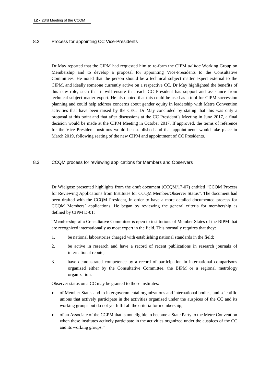## 8.2 Process for appointing CC Vice-Presidents

Dr May reported that the CIPM had requested him to re-form the CIPM *ad hoc* Working Group on Membership and to develop a proposal for appointing Vice-Presidents to the Consultative Committees. He noted that the person should be a technical subject matter expert external to the CIPM, and ideally someone currently active on a respective CC. Dr May highlighted the benefits of this new role, such that it will ensure that each CC President has support and assistance from technical subject matter expert. He also noted that this could be used as a tool for CIPM succession planning and could help address concerns about gender equity in leadership with Metre Convention activities that have been raised by the CEC. Dr May concluded by stating that this was only a proposal at this point and that after discussions at the CC President's Meeting in June 2017, a final decision would be made at the CIPM Meeting in October 2017. If approved, the terms of reference for the Vice President positions would be established and that appointments would take place in March 2019, following seating of the new CIPM and appointment of CC Presidents.

#### 8.3 CCQM process for reviewing applications for Members and Observers

Dr Wielgosz presented highlights from the draft document (CCQM/17-07) entitled "CCQM Process for Reviewing Applications from Institutes for CCQM Member/Observer Status". The document had been drafted with the CCQM President, in order to have a more detailed documented process for CCQM Members' applications. He began by reviewing the general criteria for membership as defined by CIPM D-01:

"Membership of a Consultative Committee is open to institutions of Member States of the BIPM that are recognized internationally as most expert in the field. This normally requires that they:

- 1. be national laboratories charged with establishing national standards in the field;
- 2. be active in research and have a record of recent publications in research journals of international repute;
- 3. have demonstrated competence by a record of participation in international comparisons organized either by the Consultative Committee, the BIPM or a regional metrology organization.

Observer status on a CC may be granted to those institutes:

- of Member States and to intergovernmental organizations and international bodies, and scientific unions that actively participate in the activities organized under the auspices of the CC and its working groups but do not yet fulfil all the criteria for membership;
- of an Associate of the CGPM that is not eligible to become a State Party to the Metre Convention when these institutes actively participate in the activities organized under the auspices of the CC and its working groups."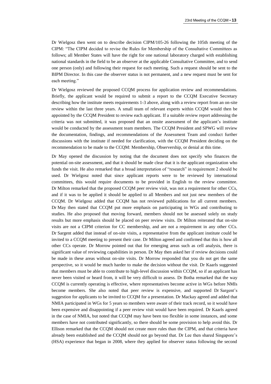Dr Wielgosz then went on to describe decision CIPM/105-26 following the 105th meeting of the CIPM: "The CIPM decided to revise the Rules for Membership of the Consultative Committees as follows; all Member States will have the right for one national laboratory charged with establishing national standards in the field to be an observer at the applicable Consultative Committee, and to send one person (only) and following their request for each meeting. Such a request should be sent to the BIPM Director. In this case the observer status is not permanent, and a new request must be sent for each meeting."

Dr Wielgosz reviewed the proposed CCQM process for application review and recommendations. Briefly, the applicant would be required to submit a report to the CCQM Executive Secretary describing how the institute meets requirements 1-3 above, along with a review report from an on-site review within the last three years. A small team of relevant experts within CCQM would then be appointed by the CCQM President to review each applicant. If a suitable review report addressing the criteria was not submitted, it was proposed that an onsite assessment of the applicant's institute would be conducted by the assessment team members. The CCQM President and SPWG will review the documentation, findings, and recommendations of the Assessment Team and conduct further discussions with the institute if needed for clarification, with the CCQM President deciding on the recommendation to be made to the CCQM: Membership, Observership, or denial at this time.

Dr May opened the discussion by noting that the document does not specify who finances the potential on-site assessment, and that it should be made clear that it is the applicant organization who funds the visit. He also remarked that a broad interpretation of "research" in requirement 2 should be used. Dr Wielgosz noted that since applicant reports were to be reviewed by international committees, this would require documents to be provided in English to the review committee. Dr Milton remarked that the proposed CCQM peer review visit, was not a requirement for other CCs, and if it was to be applied it should be applied to all Members and not just new members of the CCQM. Dr Wielgosz added that CCQM has not reviewed publications for all current members. Dr May then stated that CCQM put more emphasis on participating in WGs and contributing to studies. He also proposed that moving forward, members should not be assessed solely on study results but more emphasis should be placed on peer review visits. Dr Milton reiterated that on-site visits are not a CIPM criterion for CC membership, and are not a requirement in any other CCs. Dr Sargent added that instead of on-site visits, a representative from the applicant institute could be invited to a CCQM meeting to present their case. Dr Milton agreed and confirmed that this is how all other CCs operate. Dr Morrow pointed out that for emerging areas such as cell analysis, there is significant value of reviewing capabilities in person. Dr May then asked her if review decisions could be made in these areas without on-site visits. Dr Morrow responded that you do not get the same perspective, so it would be much harder to make the decision without the visit. Dr Kaarls suggested that members must be able to contribute to high-level discussion within CCQM, so if an applicant has never been visited or heard from, it will be very difficult to assess. Dr Botha remarked that the way CCQM is currently operating is effective, where representatives become active in WGs before NMIs become members. She also noted that peer review is expensive, and supported Dr Sargent's suggestion for applicants to be invited to CCQM for a presentation. Dr Mackay agreed and added that NMIA participated in WGs for 5 years so members were aware of their track record, so it would have been expensive and disappointing if a peer review visit would have been required. Dr Kaarls agreed in the case of NMIA, but noted that CCQM may have been too flexible in some instances, and some members have not contributed significantly, so there should be some provision to help avoid this. Dr Ellison remarked that the CCQM should not create more rules than the CIPM, and that criteria have already been established and the CCQM should not go beyond that. Dr Lee then shared Singapore's (HSA) experience that began in 2008, where they applied for observer status following the second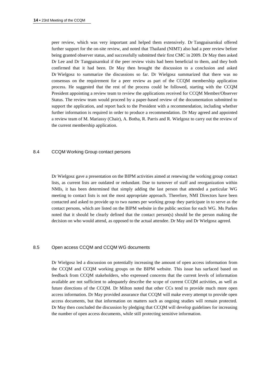peer review, which was very important and helped them extensively. Dr Tangpaisarnkul offered further support for the on-site review, and noted that Thailand (NIMT) also had a peer review before being granted observer status, and successfully submitted their first CMC in 2009. Dr May then asked Dr Lee and Dr Tangpaisarnkul if the peer review visits had been beneficial to them, and they both confirmed that it had been. Dr May then brought the discussion to a conclusion and asked Dr Wielgosz to summarize the discussions so far. Dr Wielgosz summarized that there was no consensus on the requirement for a peer review as part of the CCQM membership application process. He suggested that the rest of the process could be followed, starting with the CCQM President appointing a review team to review the applications received for CCQM Member/Observer Status. The review team would proceed by a paper-based review of the documentation submitted to support the application, and report back to the President with a recommendation, including whether further information is required in order to produce a recommendation. Dr May agreed and appointed a review team of M. Mariassy (Chair), A. Botha, R. Parris and R. Wielgosz to carry out the review of the current membership application.

#### 8.4 CCQM Working Group contact persons

Dr Wielgosz gave a presentation on the BIPM activities aimed at renewing the working group contact lists, as current lists are outdated or redundant. Due to turnover of staff and reorganization within NMIs, it has been determined that simply adding the last person that attended a particular WG meeting to contact lists is not the most appropriate approach. Therefore, NMI Directors have been contacted and asked to provide up to two names per working group they participate in to serve as the contact persons, which are listed on the BIPM website in the public section for each WG. Ms Parkes noted that it should be clearly defined that the contact person(s) should be the person making the decision on who would attend, as opposed to the actual attendee. Dr May and Dr Wielgosz agreed.

#### 8.5 Open access CCQM and CCQM WG documents

Dr Wielgosz led a discussion on potentially increasing the amount of open access information from the CCQM and CCQM working groups on the BIPM website. This issue has surfaced based on feedback from CCQM stakeholders, who expressed concerns that the current levels of information available are not sufficient to adequately describe the scope of current CCQM activities, as well as future directions of the CCQM. Dr Milton noted that other CCs tend to provide much more open access information. Dr May provided assurance that CCQM will make every attempt to provide open access documents, but that information on matters such as ongoing studies will remain protected. Dr May then concluded the discussion by pledging that CCQM will develop guidelines for increasing the number of open access documents, while still protecting sensitive information.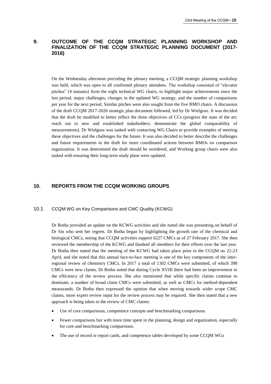## **9. OUTCOME OF THE CCQM STRATEGIC PLANNING WORKSHOP AND FINALIZATION OF THE CCQM STRATEGIC PLANNING DOCUMENT (2017- 2016)**

On the Wednesday afternoon preceding the plenary meeting, a CCQM strategic planning workshop was held, which was open to all confirmed plenary attendees. The workshop consisted of "elevator pitches" (4 minutes) from the eight technical WG chairs, to highlight major achievements since the last period, major challenges, changes in the updated WG strategy, and the number of comparisons per year for the next period. Similar pitches were also sought from the five RMO chairs. A discussion of the draft CCQM 2017-2026 strategic plan document followed, led by Dr Wielgosz. It was decided that the draft be modified to better reflect the three objectives of CCs (progress the state of the art; reach out to new and established stakeholders; demonstrate the global comparability of measurements). Dr Wielgosz was tasked with contacting WG Chairs to provide examples of meeting these objectives and the challenges for the future. It was also decided to better describe the challenges and future requirements in the draft for more coordinated actions between RMOs on comparison organization. It was determined the draft should be reordered, and Working group chairs were also tasked with ensuring their long-term study plans were updated.

## **10. REPORTS FROM THE CCQM WORKING GROUPS**

#### 10.1 CCQM WG on Key Comparisons and CMC Quality (KCWG)

Dr Botha provided an update on the KCWG activities and she noted she was presenting on behalf of Dr Sin who sent her regrets. Dr Botha began by highlighting the growth rate of the chemical and biological CMCs, noting that CCQM activities support 6227 CMCs as of 27 February 2017. She then reviewed the membership of the KCWG and thanked all members for their efforts over the last year. Dr Botha then stated that the meeting of the KCWG had taken place prior to the CCQM on 22-23 April, and she noted that this annual face-to-face meeting is one of the key components of the interregional review of chemistry CMCs. In 2017 a total of 1302 CMCs were submitted, of which 398 CMCs were new claims. Dr Botha noted that during Cycle XVIII there had been an improvement in the efficiency of the review process. She also mentioned that while specific claims continue to dominate, a number of broad claim CMCs were submitted, as well as CMCs for method-dependent measurands. Dr Botha then expressed the opinion that when moving towards wider scope CMC claims, more expert review input for the review process may be required. She then stated that a new approach is being taken in the review of CMC claims:

- Use of core comparisons, competence concepts and benchmarking comparisons.
- Fewer comparisons but with more time spent in the planning, design and organization, especially for core and benchmarking comparisons.
- The use of record or report cards, and competence tables developed by some CCQM WGs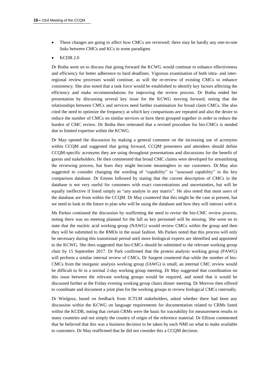- These changes are going to affect how CMCs are reviewed; there may be hardly any one-to-one links between CMCs and KCs in some paradigms
- KCDB 2.0

Dr Botha went on to discuss that going forward the KCWG would continue to enhance effectiveness and efficiency for better adherence to hard deadlines. Vigorous examination of both intra- and interregional review processes would continue, as will the re-review of existing CMCs to enhance consistency. She also noted that a task force would be established to identify key factors affecting the efficiency and make recommendations for improving the review process. Dr Botha ended her presentation by discussing several key issue for the KCWG moving forward, noting that the relationships between CMCs and services need further examination for broad claim CMCs. She also cited the need to optimize the frequency at which key comparisons are repeated and also the desire to reduce the number of CMCs on similar services or have them grouped together in order to reduce the burden of CMC review. Dr Botha then reiterated that a revised procedure for bio-CMCs is needed due to limited expertise within the KCWG.

Dr May opened the discussion by making a general comment on the increasing use of acronyms within CCQM and suggested that going forward, CCQM presenters and attendees should define CCQM-specific acronyms they are using throughout presentations and discussions for the benefit of guests and stakeholders. He then commented that broad CMC claims were developed for streamlining the reviewing process, but fears they might become meaningless to our customers. Dr May also suggested to consider changing the wording of "capability" to "assessed capability" in the key comparison database. Dr Emons followed by stating that the current description of CMCs in the database is not very useful for customers with exact concentrations and uncertainties, but will be equally ineffective if listed simply as "any analyte in any matrix". He also noted that most users of the database are from within the CCQM. Dr May countered that this might be the case at present, but we need to look to the future to plan who will be using the database and how they will interact with it.

Ms Parkes continued the discussion by reaffirming the need to revise the bio-CMC review process, noting there was no meeting planned for the fall as key personnel will be missing. She went on to state that the nucleic acid working group (NAWG) would review CMCs within the group and then they will be submitted to the RMOs in the usual fashion. Ms Parkes noted that this process will only be necessary during this transitional period until more biological experts are identified and appointed to the KCWG. She then suggested that bio-CMCs should be submitted to the relevant working group chair by 15 September 2017. Dr Park confirmed that the protein analysis working group (PAWG) will perform a similar internal review of CMCs. Dr Sargent countered that while the number of bio-CMCs from the inorganic analysis working group (IAWG) is small, an internal CMC review would be difficult to fit in a normal 2-day working group meeting. Dr May suggested that coordination on this issue between the relevant working groups would be required, and noted that it would be discussed further at the Friday evening working group chairs dinner meeting. Dr Morrow then offered to coordinate and document a joint plan for the working groups to review biological CMCs internally.

Dr Wielgosz, based on feedback from JCTLM stakeholders, asked whether there had been any discussion within the KCWG on language requirements for documentation related to CRMs listed within the KCDB, noting that certain CRMs were the basis for traceability for measurement results in many countries and not simply the country of origin of the reference material. Dr Ellison commented that he believed that this was a business decision to be taken by each NMI on what to make available to customers. Dr May reaffirmed that he did not consider this a CCQM decision.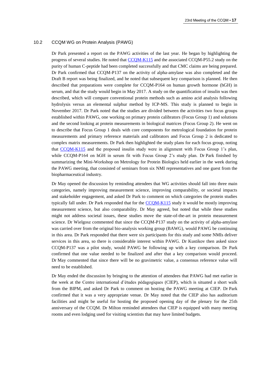#### 10.2 CCQM WG on Protein Analysis (PAWG)

Dr Park presented a report on the PAWG activities of the last year. He began by highlighting the progress of several studies. He noted that [CCQM-K115](http://kcdb.bipm.org/appendixB/KCDB_ApB_info.asp?cmp_idy=1339&cmp_cod=CCQM-K115&prov=exalead) and the associated CCQM-P55.2 study on the purity of human C-peptide had been completed successfully and that CMC claims are being prepared. Dr Park confirmed that CCQM-P137 on the activity of alpha-amylase was also completed and the Draft B report was being finalized, and he noted that subsequent key comparison is planned. He then described that preparations were complete for CCQM-P164 on human growth hormone (hGH) in serum, and that the study would begin in May 2017. A study on the quantification of insulin was then described, which will compare conventional protein methods such as amino acid analysis following hydrolysis versus an elemental sulphur method by ICP-MS. This study is planned to begin in November 2017. Dr Park noted that the studies are divided between the activities two focus groups established within PAWG, one working on primary protein calibrators (Focus Group 1) and solutions and the second looking at protein measurements in biological matrices (Focus Group 2). He went on to describe that Focus Group 1 deals with core components for metrological foundation for protein measurements and primary reference materials and calibrators and Focus Group 2 is dedicated to complex matrix measurements. Dr Park then highlighted the study plans for each focus group, noting that [CCQM-K115](http://kcdb.bipm.org/appendixB/KCDB_ApB_info.asp?cmp_idy=1339&cmp_cod=CCQM-K115&prov=exalead) and the proposed insulin study were in alignment with Focus Group 1's plan, while CCQM-P164 on hGH in serum fit with Focus Group 2's study plan. Dr Park finished by summarizing the Mini-Workshop on Metrology for Protein Biologics held earlier in the week during the PAWG meeting, that consisted of seminars from six NMI representatives and one guest from the biopharmaceutical industry.

Dr May opened the discussion by reminding attendees that WG activities should fall into three main categories, namely improving measurement science, improving comparability, or societal impacts and stakeholder engagement, and asked Dr Park to comment on which categories the protein studies typically fall under. Dr Park responded that for the [CCQM-K115](http://kcdb.bipm.org/appendixB/KCDB_ApB_info.asp?cmp_idy=1339&cmp_cod=CCQM-K115&prov=exalead) study it would be mostly improving measurement science, but also comparability. Dr May agreed, but noted that while these studies might not address societal issues, these studies move the state-of-the-art in protein measurement science. Dr Wielgosz commented that since the CCQM-P137 study on the activity of alpha-amylase was carried over from the original bio-analysis working group (BAWG), would PAWG be continuing in this area. Dr Park responded that there were six participants for this study and some NMIs deliver services in this area, so there is considerable interest within PAWG. Dr Kustikov then asked since CCQM-P137 was a pilot study, would PAWG be following up with a key comparison. Dr Park confirmed that one value needed to be finalized and after that a key comparison would proceed. Dr May commented that since there will be no gravimetric value, a consensus reference value will need to be established.

Dr May ended the discussion by bringing to the attention of attendees that PAWG had met earlier in the week at the Centre international d'études pédagogiques (CIEP), which is situated a short walk from the BIPM, and asked Dr Park to comment on hosting the PAWG meeting at CIEP. Dr Park confirmed that it was a very appropriate venue. Dr May noted that the CIEP also has auditorium facilities and might be useful for hosting the proposed opening day of the plenary for the 25th anniversary of the CCQM. Dr Milton reminded attendees that CIEP is equipped with many meeting rooms and even lodging used for visiting scientists that may have limited budgets.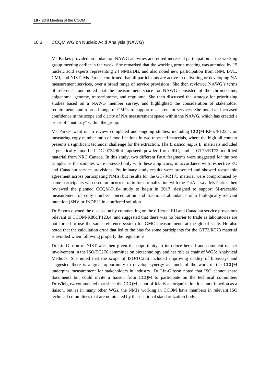#### 10.3 CCQM WG on Nucleic Acid Analysis (NAWG)

Ms Parkes provided an update on NAWG activities and noted increased participation at the working group meeting earlier in the week. She remarked that the working group meeting was attended by 15 nucleic acid experts representing 24 NMIs/DIs, and also noted new participation from INM, BVL, CMI, and NIST. Ms Parkes confirmed that all participants are active in delivering or developing NA measurement services, over a broad range of service provisions. She then reviewed NAWG's terms of reference, and noted that the measurement space for NAWG consisted of the chromosome, epigenome, genome, transcriptome, and regulome. She then discussed the strategy for prioritizing studies based on a NAWG member survey, and highlighted the consideration of stakeholder requirements and a broad range of CMCs to support measurement services. She noted an increased confidence in the scope and clarity of NA measurement space within the NAWG, which has created a sense of "maturity" within the group.

Ms Parkes went on to review completed and ongoing studies, including CCQM-K86c/P123.4, on measuring copy number ratio of modifications in two rapeseed materials, where the high oil content presents a significant technical challenge for the extraction. The *Brassica napus* L. materials included a genetically modified DG-073496-4 rapeseed powder from JRC, and a GT73/RT73 modified material from NRC Canada. In this study, two different FatA fragments were suggested for the two samples as the samples were assessed only with these amplicons, in accordance with respective EU and Canadian service provisions. Preliminary study results were presented and showed reasonable agreement across participating NMIs, but results for the GT73/RT73 material were compromised by some participants who used an incorrect ratio for normalization with the FatA assay. Ms Parkes then reviewed the planned CCQM-P184 study to begin in 2017, designed to support SI-traceable measurement of copy number concentration and fractional abundance of a biologically-relevant mutation (SNV or INDEL) in a buffered solution.

Dr Emons opened the discussion by commenting on the different EU and Canadian service provisions relevant to CCQM-K86c/P123.4, and suggested that there was no barrier to trade as laboratories are not forced to use the same reference system for GMO measurements at the global scale. He also noted that the calculation error that led to the bias for some participants for the GT73/RT73 material is avoided when following properly the regulations.

Dr Lin-Gibson of NIST was then given the opportunity to introduce herself and comment on her involvement in the ISO/TC276 committee on biotechnology and her role as chair of WG3: Analytical Methods. She noted that the scope of ISO/TC276 included improving quality of bioassays and suggested there is a great opportunity to develop synergy as much of the work of the CCQM underpins measurement for stakeholders in industry. Dr Lin-Gibson noted that ISO cannot share documents but could invite a liaison from CCQM to participate on the technical committee. Dr Wielgosz commented that since the CCQM is not officially an organization it cannot function as a liaison, but as in many other WGs, the NMIs working in CCQM have members in relevant ISO technical committees that are nominated by their national standardization body.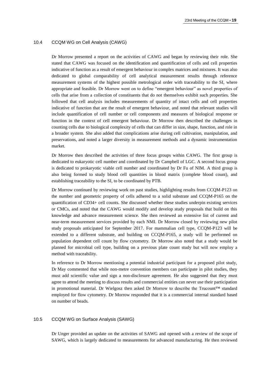#### 10.4 CCQM WG on Cell Analysis (CAWG)

Dr Morrow presented a report on the activities of CAWG and began by reviewing their role. She stated that CAWG was focused on the identification and quantification of cells and cell properties indicative of function as a result of emergent behaviour in complex matrices and mixtures. It was also dedicated to global comparability of cell analytical measurement results through reference measurement systems of the highest possible metrological order with traceability to the SI, where appropriate and feasible. Dr Morrow went on to define "emergent behaviour" as novel properties of cells that arise from a collection of constituents that do not themselves exhibit such properties. She followed that cell analysis includes measurements of quantity of intact cells and cell properties indicative of function that are the result of emergent behaviour, and noted that relevant studies will include quantification of cell number or cell components and measures of biological response or function in the context of cell emergent behaviour. Dr Morrow then described the challenges in counting cells due to biological complexity of cells that can differ in size, shape, function, and role in a broader system. She also added that complications arise during cell cultivation, manipulation, and preservations, and noted a larger diversity in measurement methods and a dynamic instrumentation market.

Dr Morrow then described the activities of three focus groups within CAWG. The first group is dedicated to eukaryotic cell number and coordinated by Dr Campbell of LGC. A second focus group is dedicated to prokaryotic viable cell number and coordinated by Dr Fu of NIM. A third group is also being formed to study blood cell quantities in blood matrix (complete blood count), and establishing traceability to the SI, to be coordinated by PTB.

Dr Morrow continued by reviewing work on past studies, highlighting results from CCQM-P123 on the number and geometric property of cells adhered to a solid substrate and CCQM-P165 on the quantification of CD34+ cell counts. She discussed whether these studies underpin existing services or CMCs, and noted that the CAWG would modify and develop study proposals that build on this knowledge and advance measurement science. She then reviewed an extensive list of current and near-term measurement services provided by each NMI. Dr Morrow closed by reviewing new pilot study proposals anticipated for September 2017. For mammalian cell type, CCQM-P123 will be extended to a different substrate, and building on CCQM-P165, a study will be performed on population dependent cell count by flow cytometry. Dr Morrow also noted that a study would be planned for microbial cell type, building on a previous plate count study but will now employ a method with traceability.

In reference to Dr Morrow mentioning a potential industrial participant for a proposed pilot study, Dr May commented that while non-metre convention members can participate in pilot studies, they must add scientific value and sign a non-disclosure agreement. He also suggested that they must agree to attend the meeting to discuss results and commercial entities can never use their participation in promotional material. Dr Wielgosz then asked Dr Morrow to describe the Trucount™ standard employed for flow cytometry. Dr Morrow responded that it is a commercial internal standard based on number of beads.

#### 10.5 CCQM WG on Surface Analysis (SAWG)

Dr Unger provided an update on the activities of SAWG and opened with a review of the scope of SAWG, which is largely dedicated to measurements for advanced manufacturing. He then reviewed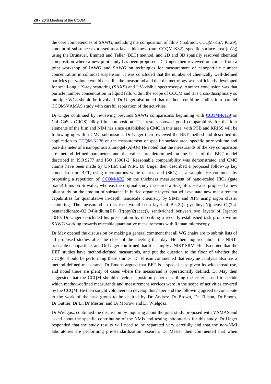the core competencies of SAWG, including the composition of films (mol/mol; CCQM-K67, K129), amount of substance expressed as a layer thickness (nm; CCQM-K32), specific surface area  $(m^2/g)$ using the Brunauer, Emmett and Teller (BET) method, and 2D and 3D spatially resolved chemical composition where a new pilot study has been proposed. Dr Unger then reviewed outcomes from a joint workshop of IAWG and SAWG on techniques for measurement of nanoparticle number concentration in colloidal suspension. It was concluded that the number of chemically well-defined particles per volume would describe the measurand and that the metrology was sufficiently developed for small-angle X-ray scattering (SAXS) and UV-visible spectroscopy. Another conclusion was that particle number concentration in liquid falls within the scope of CCQM and it is cross-disciplinary so multiple WGs should be involved. Dr Unger also noted that methods could be studies in a parallel CCQM/VAMAS study with careful separation of the activities.

Dr Unger continued by reviewing previous SAWG comparisons, beginning with [CCQM-K129](http://kcdb.bipm.org/appendixB/KCDB_ApB_info.asp?cmp_idy=1468&cmp_cod=CCQM-K129&prov=exalead) on  $CuInGaSe<sub>2</sub> (CIGS)$  alloy film composition. The results showed good comparability for the four elements of the film and NIM has since established a CMC in this area, with PTB and KRISS will be following up with a CMC submission. Dr Unger then reviewed the BET method and described its application to [CCQM-K136](http://kcdb.bipm.org/appendixB/KCDB_ApB_info.asp?cmp_idy=1480&cmp_cod=CCQM-K136&prov=exalead) on the measurement of specific surface area, specific pore volume and pore diameter of a nanoporous alumogel  $(A_2O_3)$ . He noted that the measurands of the key comparison are method-defined parameters and the values are determined on the basis of the BET model described in ISO 9277 and ISO 15901-2. Reasonable comparability was demonstrated and CMC claims have been made by UNIIM and NIM. Dr Unger then described a proposed follow-up key comparison on BET, using microporous white quartz sand  $(SiO<sub>2</sub>)$  as a sample. He continued by proposing a repetition of [CCQM-K32](http://kcdb.bipm.org/appendixB/KCDB_ApB_info.asp?cmp_idy=550&cmp_cod=CCQM-K32&prov=exalead) on the thickness measurement of nano-scaled HfO<sub>2</sub> (gate oxide) films on Si wafer, whereas the original study measured a  $SiO<sub>2</sub>$  film. He also proposed a new pilot study on the amount of substance in buried organic layers that will evaluate new measurement capabilities for quantitative in-depth nanoscale chemistry by SIMS and XPS using argon cluster sputtering. The measurand in this case would be a layer of Bis[2-(2-pyridinyl-N)phenyl-C](2,4 pentanedionato-O2,O4)iridium(III) (Ir(ppy)2(acac)), sandwiched between two layers of Irganox 1010. Dr Unger concluded his presentation by describing a recently established task group within SAWG working towards traceable quantitative measurements with Raman microscopy.

Dr May opened the discussion by making a general comment that all WG chairs are to submit lists of all proposed studies after the close of the meeting that day. He then inquired about the NISTtraceable nanoparticle, and Dr Unger confirmed that it is simply a NIST SRM. He also noted that the BET studies have method-defined measurands, and put the question to the floor of whether the CCQM should be performing these studies. Dr Ellison commented that enzyme catalysis also has a method-defined measurand. Dr Emons argued that BET is a special case given its widespread use, and noted there are plenty of cases where the measurand is operationally defined. Dr May then suggested that the CCQM should develop a position paper describing the criteria used to decide which method-defined measurands and measurement services were in the scope of activities covered by the CCQM. He then sought volunteers to develop this paper and the following agreed to contribute to the work of the task group to be chaired by Dr Andres: Dr Brown, Dr Ellison, Dr Emons, Dr Güttler, Dr Li, Dr Mester, and Dr Morrow and Dr Wielgosz.

Dr Wielgosz continued the discussion by inquiring about the joint study proposed with VAMAS and asked about the specific contribution of the NMIs and testing laboratories for this study. Dr Unger responded that the study results will need to be separated very carefully and that the non-NMI laboratories are performing pre-standardization research. Dr Mester then commented that when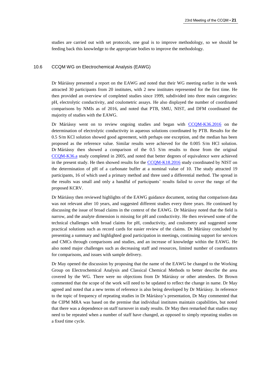studies are carried out with set protocols, one goal is to improve methodology, so we should be feeding back this knowledge to the appropriate bodies to improve the methodology.

#### 10.6 CCQM WG on Electrochemical Analysis (EAWG)

Dr Máriássy presented a report on the EAWG and noted that their WG meeting earlier in the week attracted 30 participants from 20 institutes, with 2 new institutes represented for the first time. He then provided an overview of completed studies since 1999, subdivided into three main categories: pH, electrolytic conductivity, and coulometric assays. He also displayed the number of coordinated comparisons by NMIs as of 2016, and noted that PTB, SMU, NIST, and DFM coordinated the majority of studies with the EAWG.

Dr Máriássy went on to review ongoing studies and began with [CCQM-K36.2016](http://kcdb.bipm.org/appendixB/KCDB_ApB_info.asp?cmp_idy=1567&cmp_cod=CCQM-K36.2016&prov=exalead) on the determination of electrolytic conductivity in aqueous solutions coordinated by PTB. Results for the 0.5 S/m KCl solution showed good agreement, with perhaps one exception, and the median has been proposed as the reference value. Similar results were achieved for the 0.005 S/m HCl solution. Dr Máriássy then showed a comparison of the 0.5 S/m results to those from the original [CCQM-K36.a](http://kcdb.bipm.org/appendixB/KCDB_ApB_info.asp?cmp_idy=545&cmp_cod=CCQM-K36.a&prov=exalead) study completed in 2005, and noted that better degrees of equivalence were achieved in the present study. He then showed results for the [CCQM-K18.2016](http://kcdb.bipm.org/appendixB/KCDB_ApB_info.asp?cmp_idy=1565&cmp_cod=CCQM-K18.2016&prov=exalead) study coordinated by NIST on the determination of pH of a carbonate buffer at a nominal value of 10. The study attracted 19 participants, 16 of which used a primary method and three used a differential method. The spread in the results was small and only a handful of participants' results failed to cover the range of the proposed KCRV.

Dr Máriássy then reviewed highlights of the EAWG guidance document, noting that comparison data was not relevant after 10 years, and suggested different studies every three years. He continued by discussing the issue of broad claims in the context of the EAWG. Dr Máriássy noted that the field is narrow, and the analyte dimension is missing for pH and conductivity. He then reviewed some of the technical challenges with broad claims for pH, conductivity, and coulometry and suggested some practical solutions such as record cards for easier review of the claims. Dr Máriássy concluded by presenting a summary and highlighted good participation in meetings, continuing support for services and CMCs through comparisons and studies, and an increase of knowledge within the EAWG. He also noted major challenges such as decreasing staff and resources, limited number of coordinators for comparisons, and issues with sample delivery.

Dr May opened the discussion by proposing that the name of the EAWG be changed to the Working Group on Electrochemical Analysis and Classical Chemical Methods to better describe the area covered by the WG. There were no objections from Dr Máriássy or other attendees. Dr Brown commented that the scope of the work will need to be updated to reflect the change in name. Dr May agreed and noted that a new terms of reference is also being developed by Dr Máriássy. In reference to the topic of frequency of repeating studies in Dr Máriássy's presentation, Dr May commented that the CIPM MRA was based on the premise that individual institutes maintain capabilities, but noted that there was a dependence on staff turnover in study results. Dr May then remarked that studies may need to be repeated when a number of staff have changed, as opposed to simply repeating studies on a fixed time cycle.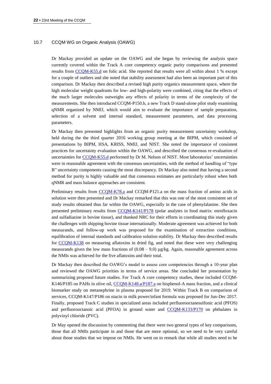#### 10.7 CCQM WG on Organic Analysis (OAWG)

Dr Mackay provided an update on the OAWG and she began by reviewing the analysis space currently covered within the Track A core competency organic purity comparisons and presented results from [CCQM-K55.d](http://kcdb.bipm.org/appendixB/KCDB_ApB_info.asp?cmp_idy=1359&cmp_cod=CCQM-K55.d&prov=exalead) on folic acid. She reported that results were all within about 1 % except for a couple of outliers and she noted that stability assessment had also been an important part of this comparison. Dr Mackay then described a revised high purity organics measurement space, where the high molecular weight quadrants for low- and high-polarity were combined, citing that the effects of the much larger molecules outweighs any effects of polarity in terms of the complexity of the measurements. She then introduced CCQM-P150.b, a new Track D stand-alone pilot study examining qNMR organized by NMIJ, which would aim to evaluate the importance of sample preparation, selection of a solvent and internal standard, measurement parameters, and data processing parameters.

Dr Mackay then presented highlights from an organic purity measurement uncertainty workshop, held during the the third quarter 2016 working group meeting at the BIPM, which consisted of presentations by BIPM, HSA, KRISS, NMIJ, and NIST. She noted the importance of consistent practices for uncertainty evaluation within the OAWG, and described the consensus re-evaluation of uncertainties for [CCQM-K55.d](http://kcdb.bipm.org/appendixB/KCDB_ApB_info.asp?cmp_idy=1359&cmp_cod=CCQM-K55.d&prov=exalead) performed by Dr M. Nelson of NIST. Most laboratories' uncertainties were in reasonable agreement with the consensus uncertainties, with the method of handling of "type B" uncertainty components causing the most discrepancy. Dr Mackay also noted that having a second method for purity is highly valuable and that consensus estimates are particularly robust when both qNMR and mass balance approaches are consistent.

Preliminary results from [CCQM-K78.a](file://///fs02.bipm.org/AppData/Local/Microsoft/Windows/AppData/Roaming/Microsoft/Word/1.1%09CCQM%20WG%20on%20Inorganic%20Analysis%20(IAWG)) and CCQM-P121.a on the mass fraction of amino acids in solution were then presented and Dr Mackay remarked that this was one of the most consistent set of study results obtained thus far within the OAWG, especially in the case of phenylalanine. She then presented preliminary results from [CCQM-K141/P178](https://www.bipm.org/exalead_kcdb/exa_kcdb.jsp?_p=AppB&_q=K141&x=0&y=0) (polar analytes in food matrix: enrofloxacin and sulfadiazine in bovine tissue), and thanked NRC for their efforts in coordinating this study given the challenges with shipping bovine tissue internationally. Moderate agreement was achieved for both measurands, and follow-up work was proposed for the examination of extraction conditions, equilibration of internal standards and calibration solution stability. Dr Mackay then described results for [CCQM-K138](https://www.bipm.org/exalead_kcdb/exa_kcdb.jsp?_p=AppB&_q=K138&x=0&y=0) on measuring aflatoxins in dried fig, and noted that these were very challenging measurands given the low mass fractions of  $(0.08 - 9.0)$  µg/kg. Again, reasonable agreement across the NMIs was achieved for the five aflatoxins and their total.

Dr Mackay then described the OAWG's model to assess core competencies through a 10-year plan and reviewed the OAWG priorities in terms of service areas. She concluded her presentation by summarizing proposed future studies. For Track A core competency studies, these included CCQM-K146/P185 on PAHs in olive oil, [CCQM-K148.a/P187.a](https://www.bipm.org/exalead_kcdb/exa_kcdb.jsp?_p=AppB&_q=K148&x=0&y=0) on bisphenol-A mass fraction, and a clinical biomarker study on metanephrine in plasma proposed for 2019. Within Track B on comparison of services, CCQM-K147/P186 on niacin in milk power/infant formula was proposed for Jun-Dec 2017. Finally, proposed Track C studies in specialized areas included perfluorooctanesulfonic acid (PFOS) and perfluorooctanoic acid (PFOA) in ground water and [CCQM-K133/P170](https://www.bipm.org/exalead_kcdb/exa_kcdb.jsp?_p=AppB&_q=K133&x=0&y=0) on phthalates in polyvinyl chloride (PVC).

Dr May opened the discussion by commenting that there were two general types of key comparisons, those that all NMIs participate in and those that are more optional, so we need to be very careful about those studies that we impose on NMIs. He went on to remark that while all studies need to be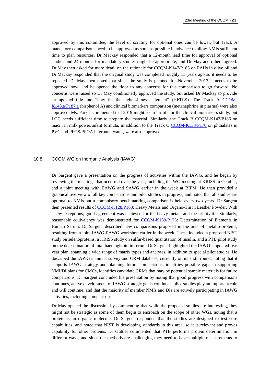approved by this committee, the level of scrutiny for optional ones can be lower, but Track A mandatory comparisons need to be approved as soon as possible in advance to allow NMIs sufficient time to plan resources. Dr Mackay responded that a 12-month lead time for approval of optional studies and 24 months for mandatory studies might be appropriate, and Dr May and others agreed. Dr May then asked for more detail on the rationale for CCQM-K147/P185 on PAHs in olive oil and Dr Mackay responded that the original study was completed roughly 15 years ago so it needs to be repeated. Dr May then noted that since the study is planned for November 2017 it needs to be approved now, and he opened the floor to any concerns for this comparison to go forward. No concerns were raised so Dr May conditionally approved the study, but asked Dr Mackay to provide an updated title and "how far the light shines statement" (HFTLS). The Track A [CCQM-](https://www.bipm.org/exalead_kcdb/exa_kcdb.jsp?_p=AppB&_q=K148&x=0&y=0)[K148.a/P187.a](https://www.bipm.org/exalead_kcdb/exa_kcdb.jsp?_p=AppB&_q=K148&x=0&y=0) (bisphenol A) and clinical biomarkers comparison (metanephrine in plasma) were also approved. Ms. Parkes commented that 2019 might seem far off for the clinical biomarkers study, but LGC needs sufficient time to prepare the material. Similarly, the Track B CCQM-K147/P186 on niacin in milk power/infant formula, in addition to the Track C [CCQM-K133/P170](https://www.bipm.org/exalead_kcdb/exa_kcdb.jsp?_p=AppB&_q=K133&x=0&y=0) on phthalates in PVC and PFOS/PFOA in ground water, were also approved.

#### 10.8 CCQM WG on Inorganic Analysis (IAWG)

Dr Sargent gave a presentation on the progress of activities within the IAWG, and he began by reviewing the meetings that occurred over the year, including the WG meeting at KRISS in October, and a joint meeting with EAWG and SAWG earlier in the week at BIPM. He then provided a graphical overview of all key comparisons and pilot studies in progress, and noted that all studies are optional to NMIs but a compulsory benchmarking comparison is held every two years. Dr Sargent then presented results of [CCQM-K128/P163:](https://www.bipm.org/exalead_kcdb/exa_kcdb.jsp?_p=AppB&_q=K128&x=0&y=0) Heavy Metals and Organo-Tin in Leather Powder. With a few exceptions, good agreement was achieved for the heavy metals and the tributyltin. Similarly, reasonable equivalency was demonstrated for [CCQM-K139/P173:](https://www.bipm.org/exalead_kcdb/exa_kcdb.jsp?_p=AppB&_q=K139&x=0&y=0) Determination of Elements in Human Serum. Dr Sargent described new comparisons proposed in the area of metallo-proteins, resulting from a joint IAWG-PAWG workshop earlier in the week. These included a proposed NIST study on selenoproteins, a KRISS study on sulfur-based quantitation of insulin, and a PTB pilot study on the determination of total haemoglobin in serum. Dr Sargent highlighted the IAWG's updated five year plan, spanning a wide range of matrix types and analytes, in addition to special pilot studies. He described the IAWG's annual survey and CRM database, currently on its sixth round, noting that it supports IAWG strategy and planning future comparisons, identifies possible gaps in supporting NMI/DI plans for CMCs, identifies candidate CRMs that may be potential sample materials for future comparisons. Dr Sargent concluded his presentation by noting that good progress with comparisons continues, active development of IAWG strategic goals continues, pilot studies play an important role and will continue, and that the majority of member NMIs and DIs are actively participating in IAWG activities, including comparisons.

Dr May opened the discussion by commenting that while the proposed studies are interesting, they might not be strategic as some of them begin to encroach on the scope of other WGs, noting that a protein is an organic molecule. Dr Sargent responded that the studies are designed to test core capabilities, and noted that NIST is developing standards in this area, so it is relevant and proves capability for other proteins. Dr Güttler commented that PTB performs protein determination in different ways, and since the methods are challenging they need to have multiple measurements to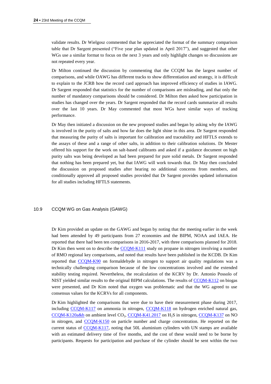validate results. Dr Wielgosz commented that he appreciated the format of the summary comparison table that Dr Sargent presented ("Five year plan updated in April 2017"), and suggested that other WGs use a similar format to focus on the next 3 years and only highlight changes so discussions are not repeated every year.

Dr Milton continued the discussion by commenting that the CCQM has the largest number of comparisons, and while OAWG has different tracks to show differentiation and strategy, it is difficult to explain to the JCRB how the record card approach has improved efficiency of studies in IAWG. Dr Sargent responded that statistics for the number of comparisons are misleading, and that only the number of mandatory comparisons should be considered. Dr Milton then asked how participation in studies has changed over the years. Dr Sargent responded that the record cards summarize all results over the last 10 years. Dr May commented that most WGs have similar ways of tracking performance.

Dr May then initiated a discussion on the new proposed studies and began by asking why the IAWG is involved in the purity of salts and how far does the light shine in this area. Dr Sargent responded that measuring the purity of salts is important for calibration and traceability and HFTLS extends to the assays of these and a range of other salts, in addition to their calibration solutions. Dr Mester offered his support for the work on salt-based calibrants and asked if a guidance document on high purity salts was being developed as had been prepared for pure solid metals. Dr Sargent responded that nothing has been prepared yet, but that IAWG will work towards that. Dr May then concluded the discussion on proposed studies after hearing no additional concerns from members, and conditionally approved all proposed studies provided that Dr Sargent provides updated information for all studies including HFTLS statements.

#### 10.9 CCQM WG on Gas Analysis (GAWG)

Dr Kim provided an update on the GAWG and began by noting that the meeting earlier in the week had been attended by 49 participants from 27 economies and the BIPM, NOAA and IAEA. He reported that there had been ten comparisons in 2016-2017, with three comparisons planned for 2018. Dr Kim then went on to describe the [CCQM-K111](http://kcdb.bipm.org/appendixB/KCDB_ApB_info.asp?cmp_idy=1335&cmp_cod=CCQM-K111&prov=exalead) study on propane in nitrogen involving a number of RMO regional key comparisons, and noted that results have been published in the KCDB. Dr Kim reported that [CCQM-K90](http://kcdb.bipm.org/appendixB/KCDB_ApB_info.asp?cmp_idy=1095&cmp_cod=CCQM-K90&prov=exalead) on formaldehyde in nitrogen to support air quality regulations was a technically challenging comparison because of the low concentrations involved and the extended stability testing required. Nevertheless, the recalculation of the KCRV by Dr. Antonio Possolo of NIST yielded similar results to the original BIPM calculations. The results of [CCQM-K112](http://kcdb.bipm.org/appendixB/KCDB_ApB_info.asp?cmp_idy=1336&cmp_cod=CCQM-K112&prov=exalead) on biogas were presented, and Dr Kim noted that oxygen was problematic and that the WG agreed to use consensus values for the KCRVs for all components.

Dr Kim highlighted the comparisons that were due to have their measurement phase during 2017, including [CCQM-K117](http://kcdb.bipm.org/appendixB/KCDB_ApB_info.asp?cmp_idy=1361&cmp_cod=CCQM-K117&prov=exalead) on ammonia in nitrogen, [CCQM-K118](http://kcdb.bipm.org/appendixB/KCDB_ApB_info.asp?cmp_idy=1362&cmp_cod=CCQM-K118&prov=exalead) on hydrogen enriched natural gas,  $CCOM-K120a&b$  on ambient level  $CO<sub>2</sub>$ ,  $CCOM-K41.2017$  on  $H<sub>2</sub>S$  in nitrogen,  $CCOM-K137$  on NO in nitrogen, and [CCQM-K150](http://kcdb.bipm.org/appendixB/KCDB_ApB_search_result.asp?search=2&cmp_cod_search=K150&match_exact=0) on particle number and charge concentration. He reported on the current status of [CCQM-K117,](http://kcdb.bipm.org/appendixB/KCDB_ApB_info.asp?cmp_idy=1361&cmp_cod=CCQM-K117&prov=exalead) noting that 50L aluminium cylinders with UN stamps are available with an estimated delivery time of five months, and the cost of these would need to be borne by participants. Requests for participation and purchase of the cylinder should be sent within the two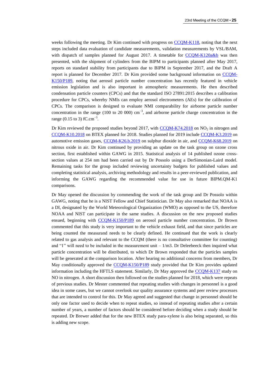weeks following the meeting. Dr Kim continued with progress on [CCQM-K118,](http://kcdb.bipm.org/appendixB/KCDB_ApB_info.asp?cmp_idy=1362&cmp_cod=CCQM-K118&prov=exalead) noting that the next steps included data evaluation of candidate measurements, validation measurements by VSL/BAM, with dispatch of samples planned for August 2017. A timetable for [CCQM-K120a&b](http://kcdb.bipm.org/appendixB/KCDB_ApB_info.asp?cmp_idy=1364&cmp_cod=CCQM-K120&prov=exalead) was then presented, with the shipment of cylinders from the BIPM to participants planned after May 2017, reports on standard stability from participants due to BIPM in September 2017, and the Draft A report is planned for December 2017. Dr Kim provided some background information on [CCQM-](http://kcdb.bipm.org/appendixB/KCDB_ApB_search_result.asp?search=2&cmp_cod_search=K150&match_exact=0)[K150/P189,](http://kcdb.bipm.org/appendixB/KCDB_ApB_search_result.asp?search=2&cmp_cod_search=K150&match_exact=0) noting that aerosol particle number concentration has recently featured in vehicle emission legislation and is also important in atmospheric measurements. He then described condensation particle counters (CPCs) and that the standard ISO 27891:2015 describes a calibration procedure for CPCs, whereby NMIs can employ aerosol electrometers (AEs) for the calibration of CPCs. The comparison is designed to evaluate NMI comparability for airborne particle number concentration in the range (100 to 20 000) cm<sup>-3</sup>, and airborne particle charge concentration in the range (0.15 to 3) fC.cm<sup>-3</sup>.

Dr Kim reviewed the proposed studies beyond 2017, with  $CCQM-K74.2018$  on  $NO<sub>2</sub>$  in nitrogen and [CCQM-K10.2018](http://kcdb.bipm.org/appendixB/KCDB_ApB_info.asp?cmp_idy=161&cmp_cod=CCQM-K10&prov=exalead) on BTEX planned for 2018. Studies planned for 2019 include [CCQM-K3.2019](http://kcdb.bipm.org/appendixB/KCDB_ApB_info.asp?cmp_idy=55&cmp_cod=CCQM-K3&prov=exalead) on automotive emission gases, [CCQM-K26.b.2019](http://kcdb.bipm.org/appendixB/KCDB_ApB_info.asp?cmp_idy=178&cmp_cod=CCQM-K26.b&prov=exalead) on sulphur dioxide in air, and [CCQM-K68.2019](http://kcdb.bipm.org/appendixB/KCDB_ApB_info.asp?cmp_idy=1580&cmp_cod=CCQM-K68.2019&prov=exalead) on nitrous oxide in air. Dr Kim continued by providing an update on the task group on ozone cross section, first established within GAWG in 2015. Statistical analysis of 14 published ozone crosssection values at 254 nm had been carried out by Dr Possolo using a DerSimonian-Laird model. Remaining tasks for the group included reviewing uncertainty budgets for published values and completing statistical analysis, archiving methodology and results in a peer-reviewed publication, and informing the GAWG regarding the recommended value for use in future BIPM.QM-K1 comparisons.

Dr May opened the discussion by commending the work of the task group and Dr Possolo within GAWG, noting that he is a NIST Fellow and Chief Statistician. Dr May also remarked that NOAA is a DI, designated by the World Meteorological Organization (WMO) as opposed to the US, therefore NOAA and NIST can participate in the same studies. A discussion on the new proposed studies ensued, beginning with [CCQM-K150/P189](http://kcdb.bipm.org/appendixB/KCDB_ApB_search_result.asp?search=2&cmp_cod_search=K150&match_exact=0) on aerosol particle number concentration. Dr Brown commented that this study is very important to the vehicle exhaust field, and that since particles are being counted the measurand needs to be clearly defined. He continued that the work is clearly related to gas analysis and relevant to the CCQM (there is no consultative committee for counting) and "1" will need to be included in the measurement unit  $-1/m3$ . Dr Deleebeeck then inquired what particle concentration will be distributed, to which Dr Brown responded that the particles samples will be generated at the comparison location. After hearing no additional concerns from members, Dr May conditionally approved the [CCQM-K150/P189](http://kcdb.bipm.org/appendixB/KCDB_ApB_search_result.asp?search=2&cmp_cod_search=K150&match_exact=0) study provided that Dr Kim provides updated information including the HFTLS statement. Similarly, Dr May approved the [CCQM-K137](http://kcdb.bipm.org/appendixB/KCDB_ApB_search_result.asp?search=2&cmp_cod_search=K137&match_exact=0) study on NO in nitrogen. A short discussion then followed on the studies planned for 2018, which were repeats of previous studies. Dr Mester commented that repeating studies with changes in personnel is a good idea in some cases, but we cannot overlook our quality assurance systems and peer review processes that are intended to control for this. Dr May agreed and suggested that change in personnel should be only one factor used to decide when to repeat studies, so instead of repeating studies after a certain number of years, a number of factors should be considered before deciding when a study should be repeated. Dr Brewer added that for the new BTEX study para-xylene is also being separated, so this is adding new scope.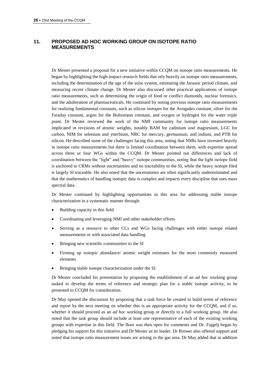## **11. PROPOSED AD HOC WORKING GROUP ON ISOTOPE RATIO MEASUREMENTS**

Dr Mester presented a proposal for a new initiative within CCQM on isotope ratio measurements. He began by highlighting the high-impact research fields that rely heavily on isotope ratio measurements, including the determination of the age of the solar system, estimating the Jurassic period climate, and measuring recent climate change. Dr Mester also discussed other practical applications of isotope ratio measurements, such as determining the origin of food or conflict diamonds, nuclear forensics, and the adulteration of pharmaceuticals. He continued by noting previous isotope ratio measurements for realizing fundamental constants, such as silicon isotopes for the Avogadro constant, silver for the Faraday constant, argon for the Boltzmann constant, and oxygen or hydrogen for the water triple point. Dr Mester reviewed the work of the NMI community for isotope ratio measurements implicated in revisions of atomic weights, notably BAM for cadmium and magnesium, LGC for carbon, NIM for selenium and ytterbium, NRC for mercury, germanium, and indium, and PTB for silicon. He described some of the challenges facing this area, noting that NMIs have invested heavily in isotope ratio measurements but there is limited coordination between them, with expertise spread across three or four WGs within the CCQM. Dr Mester pointed out differences and lack of coordination between the "light" and "heavy" isotope communities, noting that the light isotope field is anchored to CRMs without uncertainties and no traceability to the SI, while the heavy isotope filed is largely SI traceable. He also noted that the uncertainties are often significantly underestimated and that the mathematics of handling isotopic data is complex and impacts every discipline that uses mass spectral data.

Dr Mester continued by highlighting opportunities in this area for addressing stable isotope characterization in a systematic manner through:

- Building capacity in this field
- Coordinating and leveraging NMI and other stakeholder efforts
- Serving as a resource to other CCs and WGs facing challenges with either isotope related measurements or with associated data handling
- Bringing new scientific communities to the SI
- Firming up isotopic abundance/ atomic weight estimates for the most commonly measured elements
- Bringing stable isotope characterization under the SI.

Dr Mester concluded his presentation by proposing the establishment of an *ad hoc* working group tasked to develop the terms of reference and strategic plan for a stable isotope activity, to be presented to CCQM for consideration.

Dr May opened the discussion by proposing that a task force be created to build terms of reference and report by the next meeting on whether this is an appropriate activity for the CCQM, and if so, whether it should proceed as an *ad hoc* working group or directly to a full working group. He also noted that the task group should include at least one representative of each of the existing working groups with expertise in this field. The floor was then open for comments and Dr. Fajgelj began by pledging his support for this initiative and Dr Mester as its leader. Dr Brewer also offered support and noted that isotope ratio measurement issues are arising in the gas area. Dr May added that in addition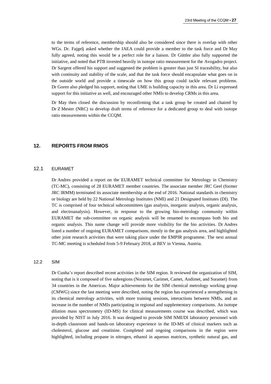to the terms of reference, membership should also be considered since there is overlap with other WGs. Dr. Fajgelj asked whether the IAEA could provide a member to the task force and Dr May fully agreed, noting this would be a perfect role for a liaison. Dr Güttler also fully supported the initiative, and noted that PTB invested heavily in isotope ratio measurement for the Avogadro project. Dr Sargent offered his support and suggested the problem is greater than just SI traceability, but also with continuity and stability of the scale, and that the task force should encapsulate what goes on in the outside world and provide a timescale on how this group could tackle relevant problems. Dr Goren also pledged his support, noting that UME is building capacity in this area. Dr Li expressed support for this initiative as well, and encouraged other NMIs to develop CRMs in this area.

Dr May then closed the discussion by reconfirming that a task group be created and chaired by Dr Z Mester (NRC) to develop draft terms of reference for a dedicated group to deal with isotope ratio measurements within the CCQM.

#### **12. REPORTS FROM RMOS**

## 12.1 EURAMET

Dr Andres provided a report on the EURAMET technical committee for Metrology in Chemistry (TC-MC), consisting of 28 EURAMET member countries. The associate member JRC Geel (former JRC IRMM) terminated its associate membership at the end of 2016. National standards in chemistry or biology are held by 22 National Metrology Institutes (NMI) and 21 Designated Institutes (DI). The TC is comprised of four technical subcommittees (gas analysis, inorganic analysis, organic analysis, and electroanalysis). However, in response to the growing bio-metrology community within EURAMET the sub-committee on organic analysis will be renamed to encompass both bio and organic analysis. This name change will provide more visibility for the bio activities. Dr Andres listed a number of ongoing EURAMET comparisons, mostly in the gas analysis area, and highlighted other joint research activities that were taking place under the EMPIR programme. The next annual TC-MC meeting is scheduled from 5-9 February 2018, at BEV in Vienna, Austria.

#### 12.2 SIM

Dr Cunha's report described recent activities in the SIM region. It reviewed the organization of SIM, noting that is it composed of five subregions (Noramet, Carimet, Camet, Andimet, and Suramet) from 34 countries in the Americas. Major achievements for the SIM chemical metrology working group (CMWG) since the last meeting were described, noting the region has experienced a strengthening in its chemical metrology activities, with more training sessions, interactions between NMIs, and an increase in the number of NMIs participating in regional and supplementary comparisons. An isotope dilution mass spectrometry (ID-MS) for clinical measurements course was described, which was provided by NIST in July 2016. It was designed to provide SIM NMI/DI laboratory personnel with in-depth classroom and hands-on laboratory experience in the ID-MS of clinical markers such as cholesterol, glucose and creatinine. Completed and ongoing comparisons in the region were highlighted, including propane in nitrogen, ethanol in aqueous matrices, synthetic natural gas, and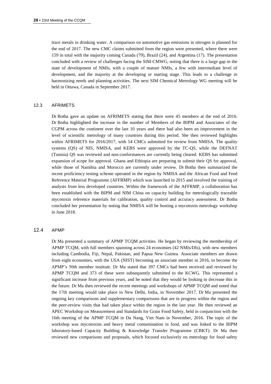trace metals in drinking water. A comparison on automotive gas emissions in nitrogen is planned for the end of 2017. The new CMC claims submitted from the region were presented, where there were 159 in total with the majority coming Canada (79), Brazil (24), and Argentina (17). The presentation concluded with a review of challenges facing the SIM-CMWG, noting that there is a large gap in the state of development of NMIs, with a couple of mature NMIs, a few with intermediate level of development, and the majority at the developing or starting stage. This leads to a challenge in harmonizing needs and planning activities. The next SIM Chemical Metrology WG meeting will be held in Ottawa, Canada in September 2017.

#### 12.3 AFRIMETS

Dr Botha gave an update on AFRIMETS stating that there were 45 members at the end of 2016. Dr Botha highlighted the increase in the number of Members of the BIPM and Associates of the CGPM across the continent over the last 10 years and there had also been an improvement in the level of scientific metrology of many countries during this period. She then reviewed highlights within AFRIMETS for 2016/2017, with 54 CMCs submitted for review from NMISA. The quality systems (QS) of NIS, NMISA, and KEBS were approved by the TC-QS, while the DEFNAT (Tunisia) QS was reviewed and non-conformances are currently being cleared. KEBS has submitted expansion of scope for approval. Ghana and Ethiopia are preparing to submit their QS for approval, while those of Namibia and Morocco are currently under review. Dr Botha then summarized the recent proficiency testing scheme operated in the region by NMISA and the African Food and Feed Reference Material Programme (AFFRMP) which was launched in 2015 and involved the training of analysts from less developed countries. Within the framework of the AFFRMP, a collaboration has been established with the BIPM and NIM China on capacity building for metrologically traceable mycotoxin reference materials for calibration, quality control and accuracy assessment. Dr Botha concluded her presentation by noting that NMISA will be hosting a mycotoxin metrology workshop in June 2018.

#### 12.4 APMP

Dr Ma presented a summary of APMP TCQM activities. He began by reviewing the membership of APMP TCQM, with full members spanning across 24 economies (42 NMIs/DIs), with new members including Cambodia, Fiji, Nepal, Pakistan, and Papua New Guinea. Associate members are drawn from eight economies, with the USA (NIST) becoming an associate member in 2016, to become the APMP's 50th member institute. Dr Ma stated that 397 CMCs had been received and reviewed by APMP TCQM and 373 of these were subsequently submitted to the KCWG. This represented a significant increase from previous years, and he noted that they would be looking to decrease this in the future. Dr Ma then reviewed the recent meetings and workshops of APMP TCQM and noted that the 17th meeting would take place in New Delhi, India, in November 2017. Dr Ma presented the ongoing key comparisons and supplementary comparisons that are in progress within the region and the peer-review visits that had taken place within the region in the last year. He then reviewed an APEC Workshop on Measurement and Standards for Grain Food Safety, held in conjunction with the 16th meeting of the APMP TCQM in Da Nang, Viet Nam in November, 2016. The topic of the workshop was mycotoxins and heavy metal contamination in food, and was linked to the BIPM laboratory-based Capacity Building & Knowledge Transfer Programme (CBKT). Dr Ma then reviewed new comparisons and proposals, which focused exclusively on metrology for food safety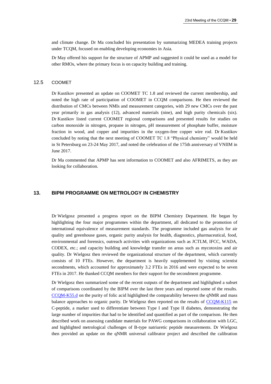and climate change. Dr Ma concluded his presentation by summarizing MEDEA training projects under TCQM, focused on enabling developing economies in Asia.

Dr May offered his support for the structure of APMP and suggested it could be used as a model for other RMOs, where the primary focus is on capacity building and training.

#### 12.5 COOMET

Dr Kustikov presented an update on COOMET TC 1.8 and reviewed the current membership, and noted the high rate of participation of COOMET in CCQM comparisons. He then reviewed the distribution of CMCs between NMIs and measurement categories, with 29 new CMCs over the past year primarily in gas analysis (12), advanced materials (nine), and high purity chemicals (six). Dr Kustikov listed current COOMET regional comparisons and presented results for studies on carbon monoxide in nitrogen, propane in nitrogen, pH measurement of phosphate buffer, moisture fraction in wood, and copper and impurities in the oxygen-free copper wire rod. Dr Kustikov concluded by noting that the next meeting of COOMET TC 1.8 "Physical chemistry" would be held in St Petersburg on 23-24 May 2017, and noted the celebration of the 175th anniversary of VNIIM in June 2017.

Dr Ma commented that APMP has sent information to COOMET and also AFRIMETS, as they are looking for collaboration.

## **13. BIPM PROGRAMME ON METROLOGY IN CHEMISTRY**

Dr Wielgosz presented a progress report on the BIPM Chemistry Department. He began by highlighting the four major programmes within the department, all dedicated to the promotion of international equivalence of measurement standards. The programme included gas analysis for air quality and greenhouse gases, organic purity analysis for health, diagnostics, pharmaceutical, food, environmental and forensics, outreach activities with organizations such as JCTLM, IFCC, WADA, CODEX, etc.; and capacity building and knowledge transfer on areas such as mycotoxins and air quality. Dr Wielgosz then reviewed the organizational structure of the department, which currently consists of 10 FTEs. However, the department is heavily supplemented by visiting scientist secondments, which accounted for approximately 3.2 FTEs in 2016 and were expected to be seven FTEs in 2017. He thanked CCQM members for their support for the secondment programme.

Dr Wielgosz then summarized some of the recent outputs of the department and highlighted a subset of comparisons coordinated by the BIPM over the last three years and reported some of the results. [CCQM-K55.d](http://kcdb.bipm.org/appendixB/KCDB_ApB_info.asp?cmp_idy=1359&cmp_cod=CCQM-K55.d&prov=exalead) on the purity of folic acid highlighted the comparability between the qNMR and mass balance approaches to organic purity. Dr Wielgosz then reported on the results of [CCQM-K115](http://kcdb.bipm.org/appendixB/KCDB_ApB_info.asp?cmp_idy=1339&cmp_cod=CCQM-K115&prov=exalead) on C-peptide, a marker used to differentiate between Type I and Type II diabetes, demonstrating the large number of impurities that had to be identified and quantified as part of the comparison. He then described work on assessing candidate materials for PAWG comparisons in collaboration with LGC, and highlighted metrological challenges of B-type natriuretic peptide measurements. Dr Wielgosz then provided an update on the qNMR universal calibrator project and described the calibration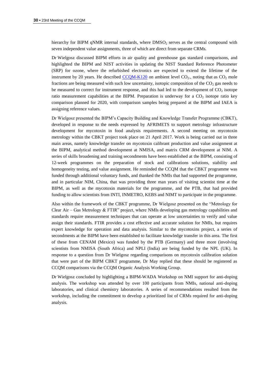hierarchy for BIPM qNMR internal standards, where  $DMSO<sub>2</sub>$  serves as the central compound with seven independent value assignments, three of which are direct from separate CRMs.

Dr Wielgosz discussed BIPM efforts in air quality and greenhouse gas standard comparisons, and highlighted the BIPM and NIST activities in updating the NIST Standard Reference Photometer (SRP) for ozone, where the refurbished electronics are expected to extend the lifetime of the instrument by 20 years. He described  $CCQM-K120$  on ambient level  $CO<sub>2</sub>$ , noting that as  $CO<sub>2</sub>$  mole fractions are being measured with such low uncertainty, isotopic composition of the  $CO<sub>2</sub>$  gas needs to be measured to correct for instrument response, and this had led to the development of  $CO<sub>2</sub>$  isotope ratio measurement capabilities at the BIPM. Preparation is underway for a  $CO<sub>2</sub>$  isotope ratio key comparison planned for 2020, with comparison samples being prepared at the BIPM and IAEA is assigning reference values.

Dr Wielgosz presented the BIPM's Capacity Building and Knowledge Transfer Programme (CBKT), developed in response to the needs expressed by AFRIMETS to support metrology infrastructure development for mycotoxin in food analysis requirements. A second meeting on mycotoxin metrology within the CBKT project took place on 21 April 2017. Work is being carried out in three main areas, namely knowledge transfer on mycotoxin calibrant production and value assignment at the BIPM, analytical method development at NMISA, and matrix CRM development at NIM. A series of skills broadening and training secondments have been established at the BIPM, consisting of 12-week programmes on the preparation of stock and calibrations solutions, stability and homogeneity testing, and value assignment. He reminded the CCQM that the CBKT programme was funded through additional voluntary funds, and thanked the NMIs that had supported the programme, and in particular NIM, China, that was providing three man years of visiting scientist time at the BIPM, as well as the mycotoxin materials for the programme, and the PTB, that had provided funding to allow scientists from INTI, INMETRO, KEBS and NIMT to participate in the programme.

Also within the framework of the CBKT programme, Dr Wielgosz presented on the "Metrology for Clear Air – Gas Metrology  $&$  FTIR" project, where NMIs developing gas metrology capabilities and standards require measurement techniques that can operate at low uncertainties to verify and value assign their standards. FTIR provides a cost effective and accurate solution for NMIs, but requires expert knowledge for operation and data analysis. Similar to the mycotoxins project, a series of secondments at the BIPM have been established to facilitate knowledge transfer in this area. The first of these from CENAM (Mexico) was funded by the PTB (Germany) and three more (involving scientists from NMISA (South Africa) and NPLI (India) are being funded by the NPL (UK). In response to a question from Dr Wielgosz regarding comparisons on mycotoxin calibration solution that were part of the BIPM CBKT programme, Dr May replied that these should be registered as CCQM comparisons via the CCQM Organic Analysis Working Group.

Dr Wielgosz concluded by highlighting a BIPM-WADA Workshop on NMI support for anti-doping analysis. The workshop was attended by over 100 participants from NMIs, national anti-doping laboratories, and clinical chemistry laboratories. A series of recommendations resulted from the workshop, including the commitment to develop a prioritized list of CRMs required for anti-doping analysis.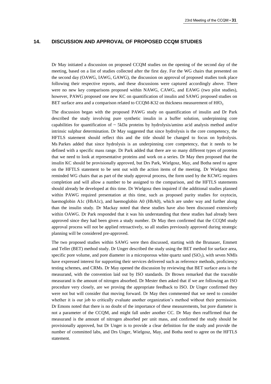## **14. DISCUSSION AND APPROVAL OF PROPOSED CCQM STUDIES**

Dr May initiated a discussion on proposed CCQM studies on the opening of the second day of the meeting, based on a list of studies collected after the first day. For the WG chairs that presented on the second day (OAWG, IAWG, GAWG), the discussion on approval of proposed studies took place following their respective reports, and these discussions were captured accordingly above. There were no new key comparisons proposed within NAWG, CAWG, and EAWG (two pilot studies), however, PAWG proposed one new KC on quantification of insulin and SAWG proposed studies on BET surface area and a comparison related to CCQM-K32 on thickness measurement of  $HfO<sub>2</sub>$ .

The discussion began with the proposed PAWG study on quantification of insulin and Dr Park described the study involving pure synthetic insulin in a buffer solution, underpinning core capabilities for quantification of  $\sim$  5kDa proteins by hydrolysis/amino acid analysis method and/or intrinsic sulphur determination. Dr May suggested that since hydrolysis is the core competency, the HFTLS statement should reflect this and the title should be changed to focus on hydrolysis. Ms Parkes added that since hydrolysis is an underpinning core competency, that it needs to be defined with a specific mass range. Dr Park added that there are so many different types of proteins that we need to look at representative proteins and work on a series. Dr May then proposed that the insulin KC should be provisionally approved, but Drs Park, Wielgosz, May, and Botha need to agree on the HFTLS statement to be sent out with the action items of the meeting. Dr Wielgosz then reminded WG chairs that as part of the study approval process, the form used by the KCWG requires completion and will allow a number to be assigned to the comparison, and the HFTLS statements should already be developed at this time. Dr Wielgosz then inquired if the additional studies planned within PAWG required presentation at this time, such as proposed purity studies for oxytocin, haemoglobin A1c (HbA1c), and haemoglobin A0 (HbA0), which are under way and further along than the insulin study. Dr Mackay noted that these studies have also been discussed extensively within OAWG. Dr Park responded that it was his understanding that these studies had already been approved since they had been given a study number. Dr May then confirmed that the CCQM study approval process will not be applied retroactively, so all studies previously approved during strategic planning will be considered pre-approved.

The two proposed studies within SAWG were then discussed, starting with the Brunauer, Emmett and Teller (BET) method study. Dr Unger described the study using the BET method for surface area, specific pore volume, and pore diameter in a microporous white quartz sand (SiO<sub>2</sub>), with seven NMIs have expressed interest for supporting their services delivered such as reference methods, proficiency testing schemes, and CRMs. Dr May opened the discussion by reviewing that BET surface area is the measurand, with the convention laid out by ISO standards. Dr Brown remarked that the traceable measurand is the amount of nitrogen absorbed. Dr Mester then asked that if we are following an ISO procedure very closely, are we proving the appropriate feedback to ISO. Dr Unger confirmed they were not but will consider that moving forward. Dr May then commented that we need to consider whether it is our job to critically evaluate another organization's method without their permission. Dr Emons noted that there is no doubt of the importance of these measurements, but pore diameter is not a parameter of the CCQM, and might fall under another CC. Dr May then reaffirmed that the measurand is the amount of nitrogen absorbed per unit mass, and confirmed the study should be provisionally approved, but Dr Unger is to provide a clear definition for the study and provide the number of committed labs, and Drs Unger, Wielgosz, May, and Botha need to agree on the HFTLS statement.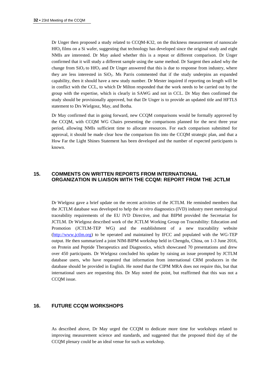Dr Unger then proposed a study related to CCQM-K32, on the thickness measurement of nanoscale HfO<sub>2</sub> films on a Si wafer, suggesting that technology has developed since the original study and eight NMIs are interested. Dr May asked whether this is a repeat or different comparison. Dr Unger confirmed that it will study a different sample using the same method. Dr Sargent then asked why the change from  $SiO<sub>2</sub>$  to  $HfO<sub>2</sub>$  and Dr Unger answered that this is due to response from industry, where they are less interested in  $SiO<sub>2</sub>$ . Ms Parris commented that if the study underpins an expanded capability, then it should have a new study number. Dr Mester inquired if reporting on length will be in conflict with the CCL, to which Dr Milton responded that the work needs to be carried out by the group with the expertise, which is clearly in SAWG and not in CCL. Dr May then confirmed the study should be provisionally approved, but that Dr Unger is to provide an updated title and HFTLS statement to Drs Wielgosz, May, and Botha.

Dr May confirmed that in going forward, new CCQM comparisons would be formally approved by the CCQM, with CCQM WG Chairs presenting the comparisons planned for the next three year period, allowing NMIs sufficient time to allocate resources. For each comparison submitted for approval, it should be made clear how the comparison fits into the CCQM strategic plan, and that a How Far the Light Shines Statement has been developed and the number of expected participants is known.

## **15. COMMENTS ON WRITTEN REPORTS FROM INTERNATIONAL ORGANIZATION IN LIAISON WITH THE CCQM: REPORT FROM THE JCTLM**

Dr Wielgosz gave a brief update on the recent activities of the JCTLM. He reminded members that the JCTLM database was developed to help the *in vitro* diagnostics (IVD) industry meet metrological traceability requirements of the EU IVD Directive, and that BIPM provided the Secretariat for JCTLM. Dr Wielgosz described work of the JCTLM Working Group on Traceability: Education and Promotion (JCTLM-TEP WG) and the establishment of a new traceability website [\(http://www.jctlm.org\)](http://www.jctlm.org/) to be operated and maintained by IFCC and populated with the WG-TEP output. He then summarized a joint NIM-BIPM workshop held in Chengdu, China, on 1-3 June 2016, on Protein and Peptide Therapeutics and Diagnostics, which showcased 70 presentations and drew over 450 participants. Dr Wielgosz concluded his update by raising an issue prompted by JCTLM database users, who have requested that information from international CRM producers in the database should be provided in English. He noted that the CIPM MRA does not require this, but that international users are requesting this. Dr May noted the point, but reaffirmed that this was not a CCQM issue.

## **16. FUTURE CCQM WORKSHOPS**

As described above, Dr May urged the CCQM to dedicate more time for workshops related to improving measurement science and standards, and suggested that the proposed third day of the CCQM plenary could be an ideal venue for such as workshop.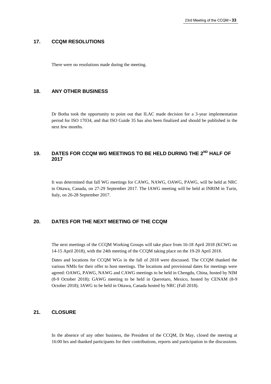#### **17. CCQM RESOLUTIONS**

There were no resolutions made during the meeting.

## **18. ANY OTHER BUSINESS**

Dr Botha took the opportunity to point out that ILAC made decision for a 3-year implementation period for ISO 17034, and that ISO Guide 35 has also been finalized and should be published in the next few months.

## **19. DATES FOR CCQM WG MEETINGS TO BE HELD DURING THE 2ND HALF OF 2017**

It was determined that fall WG meetings for CAWG, NAWG, OAWG, PAWG, will be held at NRC in Ottawa, Canada, on 27-29 September 2017. The IAWG meeting will be held at INRIM in Turin, Italy, on 26-28 September 2017.

## **20. DATES FOR THE NEXT MEETING OF THE CCQM**

The next meetings of the CCQM Working Groups will take place from 16-18 April 2018 (KCWG on 14-15 April 2018), with the 24th meeting of the CCQM taking place on the 19-20 April 2018.

Dates and locations for CCQM WGs in the fall of 2018 were discussed. The CCQM thanked the various NMIs for their offer to host meetings. The locations and provisional dates for meetings were agreed: OAWG, PAWG, NAWG and CAWG meetings to be held in Chengdu, China, hosted by NIM (8-9 October 2018); GAWG meeting to be held in Queretaro, Mexico, hosted by CENAM (8-9 October 2018); IAWG to be held in Ottawa, Canada hosted by NRC (Fall 2018).

## **21. CLOSURE**

In the absence of any other business, the President of the CCQM, Dr May, closed the meeting at 16:00 hrs and thanked participants for their contributions, reports and participation in the discussions.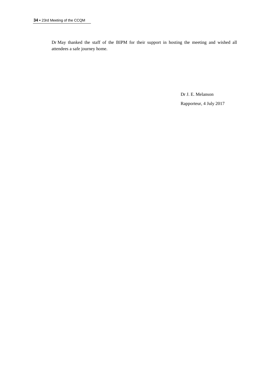Dr May thanked the staff of the BIPM for their support in hosting the meeting and wished all attendees a safe journey home.

> Dr J. E. Melanson Rapporteur, 4 July 2017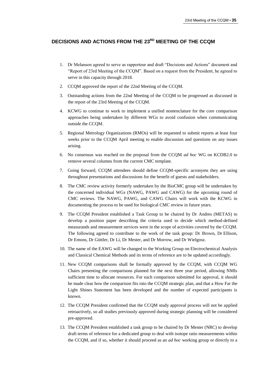## **DECISIONS AND ACTIONS FROM THE 23 RD MEETING OF THE CCQM**

- 1. Dr Melanson agreed to serve as rapporteur and draft "Decisions and Actions" document and "Report of 23rd Meeting of the CCQM". Based on a request from the President, he agreed to serve in this capacity through 2018.
- 2. CCQM approved the report of the 22nd Meeting of the CCQM.
- 3. Outstanding actions from the 22nd Meeting of the CCQM to be progressed as discussed in the report of the 23rd Meeting of the CCQM.
- 4. KCWG to continue to work to implement a unified nomenclature for the core comparison approaches being undertaken by different WGs to avoid confusion when communicating outside the CCQM.
- 5. Regional Metrology Organizations (RMOs) will be requested to submit reports at least four weeks prior to the CCQM April meeting to enable discussion and questions on any issues arising.
- 6. No consensus was reached on the proposal from the CCQM *ad hoc* WG on KCDB2.0 to remove several columns from the current CMC template.
- 7. Going forward, CCQM attendees should define CCQM-specific acronyms they are using throughout presentations and discussions for the benefit of guests and stakeholders.
- 8. The CMC review activity formerly undertaken by the BioCMC group will be undertaken by the concerned individual WGs (NAWG, PAWG and CAWG) for the upcoming round of CMC reviews. The NAWG, PAWG, and CAWG Chairs will work with the KCWG in documenting the process to be used for biological CMC review in future years.
- 9. The CCQM President established a Task Group to be chaired by Dr Andres (METAS) to develop a position paper describing the criteria used to decide which method-defined measurands and measurement services were in the scope of activities covered by the CCQM. The following agreed to contribute to the work of the task group: Dr Brown, Dr Ellison, Dr Emons, Dr Güttler, Dr Li, Dr Mester, and Dr Morrow, and Dr Wielgosz.
- 10. The name of the EAWG will be changed to the Working Group on Electrochemical Analysis and Classical Chemical Methods and its terms of reference are to be updated accordingly.
- 11. New CCQM comparisons shall be formally approved by the CCQM, with CCQM WG Chairs presenting the comparisons planned for the next three year period, allowing NMIs sufficient time to allocate resources. For each comparison submitted for approval, it should be made clear how the comparison fits into the CCQM strategic plan, and that a How Far the Light Shines Statement has been developed and the number of expected participants is known.
- 12. The CCQM President confirmed that the CCQM study approval process will not be applied retroactively, so all studies previously approved during strategic planning will be considered pre-approved.
- 13. The CCQM President established a task group to be chaired by Dr Mester (NRC) to develop draft terms of reference for a dedicated group to deal with isotope ratio measurements within the CCQM, and if so, whether it should proceed as an *ad hoc* working group or directly to a